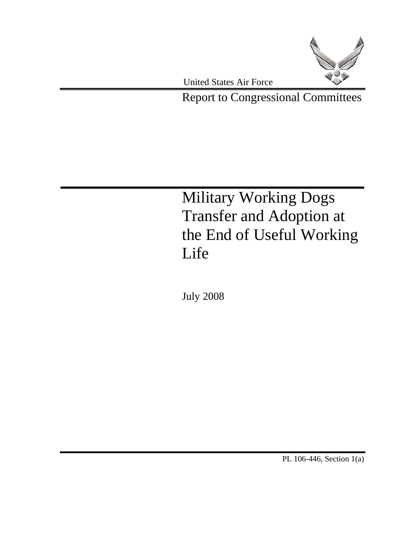

Report to Congressional Committees

Military Working Dogs Transfer and Adoption at the End of Useful Working Life

July 2008

PL 106-446, Section 1(a)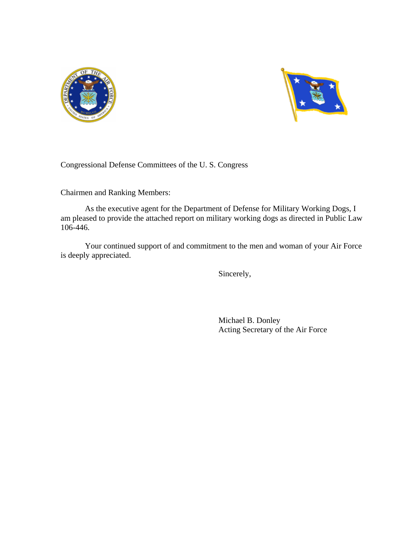



Congressional Defense Committees of the U. S. Congress

Chairmen and Ranking Members:

As the executive agent for the Department of Defense for Military Working Dogs, I am pleased to provide the attached report on military working dogs as directed in Public Law 106-446.

Your continued support of and commitment to the men and woman of your Air Force is deeply appreciated.

Sincerely,

Michael B. Donley Acting Secretary of the Air Force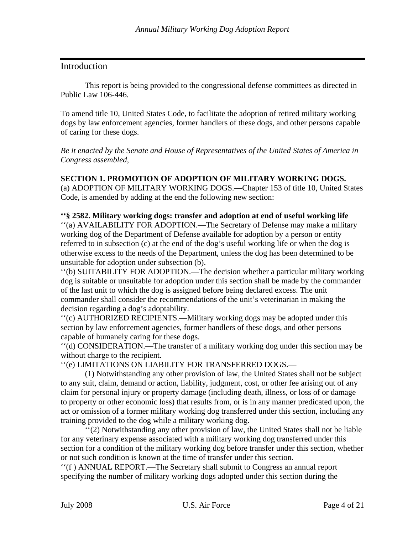## Introduction

 This report is being provided to the congressional defense committees as directed in Public Law 106-446.

To amend title 10, United States Code, to facilitate the adoption of retired military working dogs by law enforcement agencies, former handlers of these dogs, and other persons capable of caring for these dogs.

*Be it enacted by the Senate and House of Representatives of the United States of America in Congress assembled*,

#### **SECTION 1. PROMOTION OF ADOPTION OF MILITARY WORKING DOGS.**

(a) ADOPTION OF MILITARY WORKING DOGS.—Chapter 153 of title 10, United States Code, is amended by adding at the end the following new section:

**''§ 2582. Military working dogs: transfer and adoption at end of useful working life** 

''(a) AVAILABILITY FOR ADOPTION.—The Secretary of Defense may make a military working dog of the Department of Defense available for adoption by a person or entity referred to in subsection (c) at the end of the dog's useful working life or when the dog is otherwise excess to the needs of the Department, unless the dog has been determined to be unsuitable for adoption under subsection (b).

''(b) SUITABILITY FOR ADOPTION.—The decision whether a particular military working dog is suitable or unsuitable for adoption under this section shall be made by the commander of the last unit to which the dog is assigned before being declared excess. The unit commander shall consider the recommendations of the unit's veterinarian in making the decision regarding a dog's adoptability.

''(c) AUTHORIZED RECIPIENTS.—Military working dogs may be adopted under this section by law enforcement agencies, former handlers of these dogs, and other persons capable of humanely caring for these dogs.

''(d) CONSIDERATION.—The transfer of a military working dog under this section may be without charge to the recipient.

''(e) LIMITATIONS ON LIABILITY FOR TRANSFERRED DOGS.—

(1) Notwithstanding any other provision of law, the United States shall not be subject to any suit, claim, demand or action, liability, judgment, cost, or other fee arising out of any claim for personal injury or property damage (including death, illness, or loss of or damage to property or other economic loss) that results from, or is in any manner predicated upon, the act or omission of a former military working dog transferred under this section, including any training provided to the dog while a military working dog.

''(2) Notwithstanding any other provision of law, the United States shall not be liable for any veterinary expense associated with a military working dog transferred under this section for a condition of the military working dog before transfer under this section, whether or not such condition is known at the time of transfer under this section.

''(f ) ANNUAL REPORT.—The Secretary shall submit to Congress an annual report specifying the number of military working dogs adopted under this section during the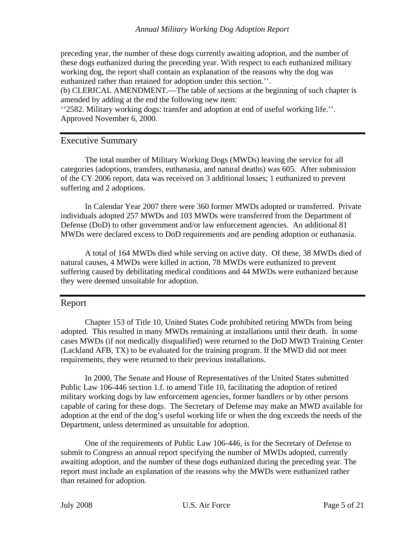preceding year, the number of these dogs currently awaiting adoption, and the number of these dogs euthanized during the preceding year. With respect to each euthanized military working dog, the report shall contain an explanation of the reasons why the dog was euthanized rather than retained for adoption under this section.''.

(b) CLERICAL AMENDMENT.—The table of sections at the beginning of such chapter is amended by adding at the end the following new item:

''2582. Military working dogs: transfer and adoption at end of useful working life.''. Approved November 6, 2000.

## Executive Summary

The total number of Military Working Dogs (MWDs) leaving the service for all categories (adoptions, transfers, euthanasia, and natural deaths) was 605. After submission of the CY 2006 report, data was received on 3 additional losses; 1 euthanized to prevent suffering and 2 adoptions.

In Calendar Year 2007 there were 360 former MWDs adopted or transferred. Private individuals adopted 257 MWDs and 103 MWDs were transferred from the Department of Defense (DoD) to other government and/or law enforcement agencies. An additional 81 MWDs were declared excess to DoD requirements and are pending adoption or euthanasia.

A total of 164 MWDs died while serving on active duty. Of these, 38 MWDs died of natural causes, 4 MWDs were killed in action, 78 MWDs were euthanized to prevent suffering caused by debilitating medical conditions and 44 MWDs were euthanized because they were deemed unsuitable for adoption.

#### Report

Chapter 153 of Title 10, United States Code prohibited retiring MWDs from being adopted. This resulted in many MWDs remaining at installations until their death. In some cases MWDs (if not medically disqualified) were returned to the DoD MWD Training Center (Lackland AFB, TX) to be evaluated for the training program. If the MWD did not meet requirements, they were returned to their previous installations.

In 2000, The Senate and House of Representatives of the United States submitted Public Law 106-446 section 1.f. to amend Title 10, facilitating the adoption of retired military working dogs by law enforcement agencies, former handlers or by other persons capable of caring for these dogs. The Secretary of Defense may make an MWD available for adoption at the end of the dog's useful working life or when the dog exceeds the needs of the Department, unless determined as unsuitable for adoption.

One of the requirements of Public Law 106-446, is for the Secretary of Defense to submit to Congress an annual report specifying the number of MWDs adopted, currently awaiting adoption, and the number of these dogs euthanized during the preceding year. The report must include an explanation of the reasons why the MWDs were euthanized rather than retained for adoption.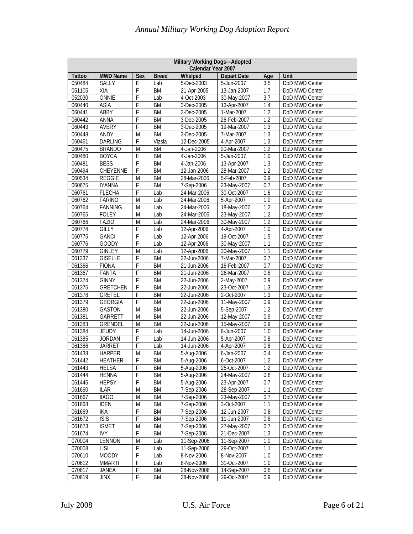| Military Working Dogs-Adopted<br>Calendar Year 2007 |                              |                |              |                            |                           |                  |                                  |  |  |  |
|-----------------------------------------------------|------------------------------|----------------|--------------|----------------------------|---------------------------|------------------|----------------------------------|--|--|--|
| <b>Tattoo</b>                                       | <b>MWD Name</b>              | Sex            | <b>Breed</b> | Whelped                    | <b>Depart Date</b>        | Age              | Unit                             |  |  |  |
| 050484                                              | <b>SALLY</b>                 | F              | Lab          | 5-Dec-2003                 | 5-Jun-2007                | 3.5              | DoD MWD Center                   |  |  |  |
| 051105                                              | XIA                          | F              | <b>BM</b>    | 21-Apr-2005                | 13-Jan-2007               | $\overline{1.7}$ | DoD MWD Center                   |  |  |  |
| 052030                                              | ONNIE                        | F              | Lab          | 4-Oct-2003                 | 30-May-2007               | 3.7              | DoD MWD Center                   |  |  |  |
| 060440                                              | ASIA                         | F              | <b>BM</b>    | 3-Dec-2005                 | 13-Apr-2007               | 1.4              | DoD MWD Center                   |  |  |  |
| 060441                                              | ABBY                         | F              | <b>BM</b>    | 3-Dec-2005                 | 1-Mar-2007                | 1.2              | DoD MWD Center                   |  |  |  |
| 060442                                              | ANNA                         | F              | <b>BM</b>    | 3-Dec-2005                 | 26-Feb-2007               | 1.2              | DoD MWD Center                   |  |  |  |
| 060443                                              | <b>AVERY</b>                 | F              | <b>BM</b>    | 3-Dec-2005                 | 19-Mar-2007               | 1.3              | DoD MWD Center                   |  |  |  |
| 060448                                              | ANDY                         | M              | <b>BM</b>    | 3-Dec-2005                 | 7-Mar-2007                | 1.3              | DoD MWD Center                   |  |  |  |
| 060461                                              | <b>DARLING</b>               | F              | Vizsla       | 12-Dec-2005                | 4-Apr-2007                | 1.3              | DoD MWD Center                   |  |  |  |
| 060475                                              | <b>BRANDO</b>                | M              | <b>BM</b>    | 4-Jan-2006                 | 20-Mar-2007               | $\overline{1.2}$ | DoD MWD Center                   |  |  |  |
| 060480                                              | <b>BOYCA</b>                 | F              | <b>BM</b>    | 4-Jan-2006                 | 5-Jan-2007                | 1.0              | DoD MWD Center                   |  |  |  |
| 060481                                              | <b>BESS</b>                  | F              | <b>BM</b>    | 4-Jan-2006                 | 13-Apr-2007               | $\overline{1.3}$ | DoD MWD Center                   |  |  |  |
| 060494                                              | CHEYENNE                     | F              | <b>BM</b>    | 12-Jan-2006                | 28-Mar-2007               | 1.2              | DoD MWD Center                   |  |  |  |
| 060534                                              | <b>REGGIE</b>                | M              | <b>BM</b>    | 28-Mar-2006                | 5-Feb-2007                | 0.9              | DoD MWD Center                   |  |  |  |
| 060675                                              | <b>IYANNA</b>                | F              | <b>BM</b>    | 7-Sep-2006                 | 23-May-2007               | 0.7              | DoD MWD Center                   |  |  |  |
| 060761                                              | <b>FLECHA</b>                | F              | Lab          | 24-Mar-2006                | 30-Oct-2007               | 1.6              | DoD MWD Center                   |  |  |  |
| 060762                                              | <b>FARINO</b>                | M              | Lab          | 24-Mar-2006                | 5-Apr-2007                | 1.0              | DoD MWD Center                   |  |  |  |
| 060764                                              | <b>FANNING</b>               | M              | Lab          | 24-Mar-2006                | 18-May-2007               | $\overline{1.2}$ | DoD MWD Center                   |  |  |  |
| 060765                                              | <b>FOLEY</b>                 | M              | Lab          | 24-Mar-2006                | 23-May-2007               | 1.2              | DoD MWD Center                   |  |  |  |
| 060766                                              | FAZIO                        | M              | Lab          | 24-Mar-2006                | 30-May-2007               | 1.2              | DoD MWD Center                   |  |  |  |
| 060774                                              | <b>GILLY</b>                 | F              | Lab          | 12-Apr-2006                | 4-Apr-2007                | 1.0              | DoD MWD Center                   |  |  |  |
| 060775                                              | <b>GANCI</b><br><b>GOODY</b> | F<br>F         | Lab          | 12-Apr-2006<br>12-Apr-2006 | 19-Oct-2007               | 1.5<br>1.1       | DoD MWD Center<br>DoD MWD Center |  |  |  |
| 060776<br>060779                                    | <b>GINLEY</b>                | M              | Lab<br>Lab   | 12-Apr-2006                | 30-May-2007               | 1.1              |                                  |  |  |  |
| 061337                                              | <b>GISELLE</b>               | F              | <b>BM</b>    | 22-Jun-2006                | 30-May-2007<br>7-Mar-2007 | 0.7              | DoD MWD Center<br>DoD MWD Center |  |  |  |
| 061366                                              | <b>FIONA</b>                 | F              | <b>BM</b>    | 21-Jun-2006                | 16-Feb-2007               | 0.7              | DoD MWD Center                   |  |  |  |
| 061367                                              | FANTA                        | F              | <b>BM</b>    | 21-Jun-2006                | 26-Mar-2007               | 0.8              | DoD MWD Center                   |  |  |  |
| 061374                                              | <b>GINNY</b>                 | F              | <b>BM</b>    | 22-Jun-2006                | 2-May-2007                | 0.9              | DoD MWD Center                   |  |  |  |
| 061375                                              | <b>GRETCHEN</b>              | F              | <b>BM</b>    | 22-Jun-2006                | 23-Oct-2007               | 1.3              | DoD MWD Center                   |  |  |  |
| 061378                                              | <b>GRETEL</b>                | F              | <b>BM</b>    | 22-Jun-2006                | 2-Oct-2007                | 1.3              | DoD MWD Center                   |  |  |  |
| 061379                                              | <b>GEORGIA</b>               | F              | <b>BM</b>    | 22-Jun-2006                | 11-May-2007               | 0.9              | DoD MWD Center                   |  |  |  |
| 061380                                              | <b>GASTON</b>                | $\overline{M}$ | <b>BM</b>    | 22-Jun-2006                | $5-Sep-2007$              | 1.2              | DoD MWD Center                   |  |  |  |
| 061381                                              | GARRETT                      | M              | <b>BM</b>    | 22-Jun-2006                | 12-May-2007               | 0.9              | DoD MWD Center                   |  |  |  |
| 061383                                              | <b>GRENDEL</b>               | M              | <b>BM</b>    | 22-Jun-2006                | 15-May-2007               | 0.9              | DoD MWD Center                   |  |  |  |
| 061384                                              | <b>JEUDY</b>                 | F              | Lab          | 14-Jun-2006                | 6-Jun-2007                | 1.0              | DoD MWD Center                   |  |  |  |
| 061385                                              | <b>JORDAN</b>                | F              | Lab          | 14-Jun-2006                | 5-Apr-2007                | 0.8              | DoD MWD Center                   |  |  |  |
| 061386                                              | <b>JARRET</b>                | F              | Lab          | 14-Jun-2006                | 4-Apr-2007                | 0.8              | DoD MWD Center                   |  |  |  |
| 061438                                              | <b>HARPER</b>                | M              | <b>BM</b>    | 5-Aug-2006                 | 6-Jan-2007                | 0.4              | DoD MWD Center                   |  |  |  |
| 061442                                              | <b>HEATHER</b>               | F              | BM           | 5-Aug-2006                 | 6-Oct-2007                | 1.2              | DoD MWD Center                   |  |  |  |
| 061443                                              | <b>HELSA</b>                 | F              | <b>BM</b>    | 5-Aug-2006                 | 25-Oct-2007               | 1.2              | DoD MWD Center                   |  |  |  |
| 061444                                              | <b>HENNA</b>                 | F              | BM           | 5-Aug-2006                 | 24-May-2007               | 0.8              | DoD MWD Center                   |  |  |  |
| 061445                                              | <b>HEPSY</b>                 | F              | BM           | 5-Aug-2006                 | 23-Apr-2007               | 0.7              | DoD MWD Center                   |  |  |  |
| 061660                                              | <b>ILAR</b>                  | M              | BM           | 7-Sep-2006                 | 28-Sep-2007               | 1.1              | DoD MWD Center                   |  |  |  |
| 061667                                              | <b>IIAGO</b>                 | M              | BM           | 7-Sep-2006                 | 23-May-2007               | 0.7              | DoD MWD Center                   |  |  |  |
| 061668                                              | <b>IDEN</b>                  | M              | <b>BM</b>    | 7-Sep-2006                 | 3-Oct-2007                | 1.1              | DoD MWD Center                   |  |  |  |
| 061669                                              | IKA                          | F              | BM           | 7-Sep-2006                 | 12-Jun-2007               | 0.8              | DoD MWD Center                   |  |  |  |
| 061672                                              | <b>ISIS</b>                  | F              | BM           | 7-Sep-2006                 | 11-Jun-2007               | 0.8              | DoD MWD Center                   |  |  |  |
| 061673                                              | <b>ISMET</b>                 | M              | BM           | 7-Sep-2006                 | 27-May-2007               | 0.7              | DoD MWD Center                   |  |  |  |
| 061674                                              | <b>IVY</b>                   | F              | BM           | 7-Sep-2006                 | 21-Dec-2007               | 1.3              | DoD MWD Center                   |  |  |  |
| 070004                                              | <b>LENNON</b>                | M              | Lab          | 11-Sep-2006                | 11-Sep-2007               | 1.0              | DoD MWD Center                   |  |  |  |
| 070008                                              | <b>LISI</b>                  | F              | Lab          | 11-Sep-2006                | 29-Oct-2007               | 1.1              | DoD MWD Center                   |  |  |  |
| 070610                                              | <b>MOODY</b>                 | F              | Lab          | 8-Nov-2006                 | 8-Nov-2007                | 1.0              | DoD MWD Center                   |  |  |  |
| 070612                                              | <b>MMARTI</b>                | F              | Lab          | 8-Nov-2006                 | 31-Oct-2007               | 1.0              | DoD MWD Center                   |  |  |  |
| 070617                                              | JANEA                        | F              | BM           | 28-Nov-2006                | 14-Sep-2007               | 0.8              | DoD MWD Center                   |  |  |  |
| 070619                                              | <b>JINX</b>                  | F              | BM           | 28-Nov-2006                | 29-Oct-2007               | 0.9              | DoD MWD Center                   |  |  |  |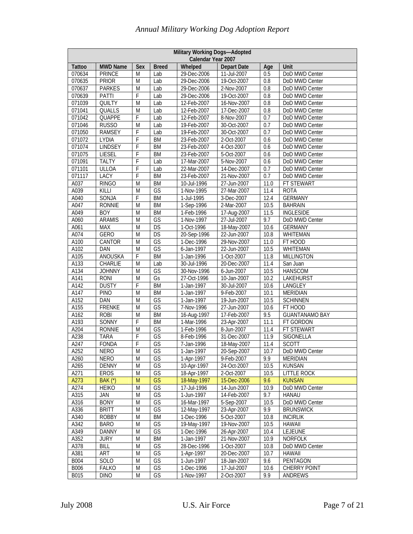| <b>MWD Name</b><br><b>Depart Date</b><br>Unit<br><b>Tattoo</b><br>Sex<br><b>Breed</b><br>Whelped<br>Age<br>DoD MWD Center<br>070634<br><b>PRINCE</b><br>29-Dec-2006<br>11-Jul-2007<br>M<br>Lab<br>0.5<br>070635<br><b>PRIOR</b><br>29-Dec-2006<br>19-Oct-2007<br>DoD MWD Center<br>M<br>Lab<br>0.8<br><b>PARKES</b><br>2-Nov-2007<br>070637<br>Lab<br>29-Dec-2006<br>0.8<br>DoD MWD Center<br>M<br>F<br>070639<br>PATTI<br>Lab<br>29-Dec-2006<br>19-Oct-2007<br>0.8<br>DoD MWD Center<br>071039<br><b>QUILTY</b><br>Lab<br>12-Feb-2007<br>16-Nov-2007<br>DoD MWD Center<br>M<br>0.8<br><b>QUALLS</b><br>071041<br>M<br>Lab<br>12-Feb-2007<br>17-Dec-2007<br>0.8<br>DoD MWD Center<br>071042<br><b>QUAPPE</b><br>F<br>Lab<br>12-Feb-2007<br>0.7<br>DoD MWD Center<br>8-Nov-2007<br>RUSSO<br>071046<br>Lab<br>19-Feb-2007<br>30-Oct-2007<br>0.7<br>DoD MWD Center<br>M<br>071050<br><b>RAMSEY</b><br>F<br>Lab<br>19-Feb-2007<br>30-Oct-2007<br>0.7<br>DoD MWD Center<br>071072<br><b>LYDIA</b><br>F<br><b>BM</b><br>23-Feb-2007<br>2-Oct-2007<br>0.6<br>DoD MWD Center<br>071074<br><b>LINDSEY</b><br>F<br>0.6<br>DoD MWD Center<br><b>BM</b><br>23-Feb-2007<br>4-Oct-2007<br>071075<br><b>LIESEL</b><br>F<br><b>BM</b><br>23-Feb-2007<br>5-Oct-2007<br>DoD MWD Center<br>0.6<br>071091<br><b>TALTY</b><br>F<br>17-Mar-2007<br>5-Nov-2007<br>0.6<br>DoD MWD Center<br>Lab<br><b>ULLOA</b><br>F<br>071101<br>Lab<br>22-Mar-2007<br>14-Dec-2007<br>0.7<br>DoD MWD Center<br>F<br>071117<br>LACY<br><b>BM</b><br>23-Feb-2007<br>21-Nov-2007<br>0.7<br>DoD MWD Center<br>A037<br><b>RINGO</b><br><b>BM</b><br>FT STEWART<br>M<br>10-Jul-1996<br>27-Jun-2007<br>11.0<br>GS<br>A039<br>KILLI<br>M<br>27-Mar-2007<br>11.4<br><b>ROTA</b><br>1-Nov-1995<br>A040<br>SONJA<br>F<br><b>BM</b><br>1-Jul-1995<br>3-Dec-2007<br>12.4<br><b>GERMANY</b><br>A047<br><b>RONNIE</b><br>BM<br>1-Sep-1996<br>2-Mar-2007<br>10.5<br><b>BAHRAIN</b><br>M<br>A049<br><b>BOY</b><br>M<br><b>BM</b><br>1-Feb-1996<br>17-Aug-2007<br>11.5<br><b>INGLESIDE</b><br>$\overline{\mathsf{GS}}$<br>A060<br><b>ARAMIS</b><br>1-Nov-1997<br>27-Jul-2007<br>9.7<br>M<br>DoD MWD Center<br>$\overline{\text{DS}}$<br>A061<br><b>MAX</b><br>M<br>1-Oct-1996<br>18-May-2007<br>10.6<br><b>GERMANY</b><br>A074<br><b>GERO</b><br>M<br>DS<br>20-Sep-1996<br>22-Jun-2007<br>WHITEMAN<br>10.8<br>$\overline{\mathsf{GS}}$<br>A100<br>CANTOR<br>FT HOOD<br>M<br>1-Dec-1996<br>29-Nov-2007<br>11.0<br>GS<br>A102<br>DAN<br>M<br>6-Jan-1997<br>22-Jun-2007<br>10.5<br>WHITEMAN<br><b>ANOUSKA</b><br>F<br><b>BM</b><br>A105<br><b>MILLINGTON</b><br>1-Jan-1996<br>1-Oct-2007<br>11.8<br>A133<br>30-Jul-1996<br>CHARLIE<br>M<br>Lab<br>20-Dec-2007<br>11.4<br>San Juan<br>$\overline{\mathsf{GS}}$<br>A134<br><b>JOHNNY</b><br>30-Nov-1996<br>6-Jun-2007<br><b>HANSCOM</b><br>M<br>10.5<br>A141<br>10.2<br>LAKEHURST<br><b>RONI</b><br>M<br>Gs<br>27-Oct-1996<br>10-Jan-2007<br>F<br>A142<br><b>DUSTY</b><br><b>BM</b><br>1-Jan-1997<br>30-Jul-2007<br>10.6<br>LANGLEY<br>A147<br><b>BM</b><br><b>PINO</b><br>M<br>1-Jan-1997<br>9-Feb-2007<br>10.1<br><b>MERIDIAN</b><br>A152<br>DAN<br>GS<br>1-Jan-1997<br>19-Jun-2007<br><b>SCHINNEN</b><br>M<br>10.5<br>$\overline{\mathsf{GS}}$<br>A155<br><b>FRENKE</b><br>7-Nov-1996<br>27-Jun-2007<br>10.6<br>FT HOOD<br>M<br>A162<br><b>ROBI</b><br><b>BM</b><br>16-Aug-1997<br>17-Feb-2007<br>9.5<br><b>GUANTANAMO BAY</b><br>M<br>F<br><b>BM</b><br>A193<br><b>SONNY</b><br>11.1<br>FT GORDON<br>1-Mar-1996<br>23-Apr-2007<br>A204<br>GS<br><b>RONNIE</b><br>1-Feb-1996<br>8-Jun-2007<br>FT STEWART<br>M<br>11.4<br>A238<br>F<br>GS<br><b>TARA</b><br>8-Feb-1996<br>31-Dec-2007<br>11.9<br>SIGONELLA<br>A247<br><b>FONDA</b><br>F<br>GS<br>18-May-2007<br>11.4<br>7-Jan-1996<br><b>SCOTT</b><br>A252<br><b>NERO</b><br>M<br>GS<br>1-Jan-1997<br>20-Sep-2007<br>10.7<br>DoD MWD Center<br>$\overline{\mathsf{GS}}$<br>A260<br><b>NERO</b><br>M<br>1-Apr-1997<br>9.9<br>9-Feb-2007<br><b>MERIDIAN</b><br>A265<br><b>DENNY</b><br>GS<br>10-Apr-1997<br>24-Oct-2007<br><b>KUNSAN</b><br>M<br>10.5<br>GS<br>A271<br>18-Apr-1997<br><b>LITTLE ROCK</b><br><b>EROS</b><br>M<br>2-Oct-2007<br>10.5<br>A273<br>GS<br>9.6<br><b>KUNSAN</b><br><b>BAK</b> (*)<br>M<br>18-May-1997<br>15-Dec-2006<br>A274<br><b>HEIKO</b><br>GS<br>17-Jul-1996<br>14-Jun-2007<br>M<br>10.9<br>DoD MWD Center<br>GS<br>A315<br>1-Jun-1997<br>9.7<br><b>HANAU</b><br>JAN<br>M<br>14-Feb-2007<br>A316<br>GS<br>16-Mar-1997<br>5-Sep-2007<br>DoD MWD Center<br><b>BONY</b><br>M<br>10.5<br>GS<br>A336<br><b>BRITT</b><br>12-May-1997<br>9.9<br><b>BRUNSWICK</b><br>M<br>23-Apr-2007<br>A340<br><b>ROBBY</b><br>M<br><b>BM</b><br>1-Dec-1996<br>5-Oct-2007<br>10.8<br><b>INCIRLIK</b><br>A342<br>19-May-1997<br><b>BARO</b><br>M<br>GS<br>19-Nov-2007<br>10.5<br><b>HAWAII</b><br>A349<br>GS<br>1-Dec-1996<br>LEJEUNE<br><b>DANNY</b><br>M<br>26-Apr-2007<br>10.4<br>A352<br><b>BM</b><br><b>JURY</b><br>M<br>1-Jan-1997<br>21-Nov-2007<br>10.9<br><b>NORFOLK</b><br>GS<br>A378<br>BILL<br>M<br>28-Dec-1996<br>1-Oct-2007<br>DoD MWD Center<br>10.8<br>GS<br>A381<br>ART<br>M<br>1-Apr-1997<br>20-Dec-2007<br>10.7<br><b>HAWAII</b><br><b>SOLO</b><br>GS<br>1-Jun-1997<br>9.6<br>PENTAGON<br><b>B004</b><br>M<br>18-Jan-2007<br>GS<br>1-Dec-1996<br>17-Jul-2007<br>CHERRY POINT<br><b>B006</b><br><b>FALKO</b><br>M<br>10.6<br>GS<br>B015<br>M<br>ANDREWS<br><b>DINO</b><br>1-Nov-1997<br>2-Oct-2007<br>9.9 | Military Working Dogs-Adopted<br>Calendar Year 2007 |  |  |  |  |  |  |  |  |  |  |
|----------------------------------------------------------------------------------------------------------------------------------------------------------------------------------------------------------------------------------------------------------------------------------------------------------------------------------------------------------------------------------------------------------------------------------------------------------------------------------------------------------------------------------------------------------------------------------------------------------------------------------------------------------------------------------------------------------------------------------------------------------------------------------------------------------------------------------------------------------------------------------------------------------------------------------------------------------------------------------------------------------------------------------------------------------------------------------------------------------------------------------------------------------------------------------------------------------------------------------------------------------------------------------------------------------------------------------------------------------------------------------------------------------------------------------------------------------------------------------------------------------------------------------------------------------------------------------------------------------------------------------------------------------------------------------------------------------------------------------------------------------------------------------------------------------------------------------------------------------------------------------------------------------------------------------------------------------------------------------------------------------------------------------------------------------------------------------------------------------------------------------------------------------------------------------------------------------------------------------------------------------------------------------------------------------------------------------------------------------------------------------------------------------------------------------------------------------------------------------------------------------------------------------------------------------------------------------------------------------------------------------------------------------------------------------------------------------------------------------------------------------------------------------------------------------------------------------------------------------------------------------------------------------------------------------------------------------------------------------------------------------------------------------------------------------------------------------------------------------------------------------------------------------------------------------------------------------------------------------------------------------------------------------------------------------------------------------------------------------------------------------------------------------------------------------------------------------------------------------------------------------------------------------------------------------------------------------------------------------------------------------------------------------------------------------------------------------------------------------------------------------------------------------------------------------------------------------------------------------------------------------------------------------------------------------------------------------------------------------------------------------------------------------------------------------------------------------------------------------------------------------------------------------------------------------------------------------------------------------------------------------------------------------------------------------------------------------------------------------------------------------------------------------------------------------------------------------------------------------------------------------------------------------------------------------------------------------------------------------------------------------------------------------------------------------------------------------------------------------------------------------------------------------------------------------------------------------------------------------------------------------------------------------------------------------------------------------------------------------------------------------------------------------------------------------------------------------------------------------------------------------------------------------------------------------------------------------------------------------------------------------------------------------------------------------------------------------------------------------------------------------------------------------------------------------------------------------------------|-----------------------------------------------------|--|--|--|--|--|--|--|--|--|--|
|                                                                                                                                                                                                                                                                                                                                                                                                                                                                                                                                                                                                                                                                                                                                                                                                                                                                                                                                                                                                                                                                                                                                                                                                                                                                                                                                                                                                                                                                                                                                                                                                                                                                                                                                                                                                                                                                                                                                                                                                                                                                                                                                                                                                                                                                                                                                                                                                                                                                                                                                                                                                                                                                                                                                                                                                                                                                                                                                                                                                                                                                                                                                                                                                                                                                                                                                                                                                                                                                                                                                                                                                                                                                                                                                                                                                                                                                                                                                                                                                                                                                                                                                                                                                                                                                                                                                                                                                                                                                                                                                                                                                                                                                                                                                                                                                                                                                                                                                                                                                                                                                                                                                                                                                                                                                                                                                                                                                                                                                      |                                                     |  |  |  |  |  |  |  |  |  |  |
|                                                                                                                                                                                                                                                                                                                                                                                                                                                                                                                                                                                                                                                                                                                                                                                                                                                                                                                                                                                                                                                                                                                                                                                                                                                                                                                                                                                                                                                                                                                                                                                                                                                                                                                                                                                                                                                                                                                                                                                                                                                                                                                                                                                                                                                                                                                                                                                                                                                                                                                                                                                                                                                                                                                                                                                                                                                                                                                                                                                                                                                                                                                                                                                                                                                                                                                                                                                                                                                                                                                                                                                                                                                                                                                                                                                                                                                                                                                                                                                                                                                                                                                                                                                                                                                                                                                                                                                                                                                                                                                                                                                                                                                                                                                                                                                                                                                                                                                                                                                                                                                                                                                                                                                                                                                                                                                                                                                                                                                                      |                                                     |  |  |  |  |  |  |  |  |  |  |
|                                                                                                                                                                                                                                                                                                                                                                                                                                                                                                                                                                                                                                                                                                                                                                                                                                                                                                                                                                                                                                                                                                                                                                                                                                                                                                                                                                                                                                                                                                                                                                                                                                                                                                                                                                                                                                                                                                                                                                                                                                                                                                                                                                                                                                                                                                                                                                                                                                                                                                                                                                                                                                                                                                                                                                                                                                                                                                                                                                                                                                                                                                                                                                                                                                                                                                                                                                                                                                                                                                                                                                                                                                                                                                                                                                                                                                                                                                                                                                                                                                                                                                                                                                                                                                                                                                                                                                                                                                                                                                                                                                                                                                                                                                                                                                                                                                                                                                                                                                                                                                                                                                                                                                                                                                                                                                                                                                                                                                                                      |                                                     |  |  |  |  |  |  |  |  |  |  |
|                                                                                                                                                                                                                                                                                                                                                                                                                                                                                                                                                                                                                                                                                                                                                                                                                                                                                                                                                                                                                                                                                                                                                                                                                                                                                                                                                                                                                                                                                                                                                                                                                                                                                                                                                                                                                                                                                                                                                                                                                                                                                                                                                                                                                                                                                                                                                                                                                                                                                                                                                                                                                                                                                                                                                                                                                                                                                                                                                                                                                                                                                                                                                                                                                                                                                                                                                                                                                                                                                                                                                                                                                                                                                                                                                                                                                                                                                                                                                                                                                                                                                                                                                                                                                                                                                                                                                                                                                                                                                                                                                                                                                                                                                                                                                                                                                                                                                                                                                                                                                                                                                                                                                                                                                                                                                                                                                                                                                                                                      |                                                     |  |  |  |  |  |  |  |  |  |  |
|                                                                                                                                                                                                                                                                                                                                                                                                                                                                                                                                                                                                                                                                                                                                                                                                                                                                                                                                                                                                                                                                                                                                                                                                                                                                                                                                                                                                                                                                                                                                                                                                                                                                                                                                                                                                                                                                                                                                                                                                                                                                                                                                                                                                                                                                                                                                                                                                                                                                                                                                                                                                                                                                                                                                                                                                                                                                                                                                                                                                                                                                                                                                                                                                                                                                                                                                                                                                                                                                                                                                                                                                                                                                                                                                                                                                                                                                                                                                                                                                                                                                                                                                                                                                                                                                                                                                                                                                                                                                                                                                                                                                                                                                                                                                                                                                                                                                                                                                                                                                                                                                                                                                                                                                                                                                                                                                                                                                                                                                      |                                                     |  |  |  |  |  |  |  |  |  |  |
|                                                                                                                                                                                                                                                                                                                                                                                                                                                                                                                                                                                                                                                                                                                                                                                                                                                                                                                                                                                                                                                                                                                                                                                                                                                                                                                                                                                                                                                                                                                                                                                                                                                                                                                                                                                                                                                                                                                                                                                                                                                                                                                                                                                                                                                                                                                                                                                                                                                                                                                                                                                                                                                                                                                                                                                                                                                                                                                                                                                                                                                                                                                                                                                                                                                                                                                                                                                                                                                                                                                                                                                                                                                                                                                                                                                                                                                                                                                                                                                                                                                                                                                                                                                                                                                                                                                                                                                                                                                                                                                                                                                                                                                                                                                                                                                                                                                                                                                                                                                                                                                                                                                                                                                                                                                                                                                                                                                                                                                                      |                                                     |  |  |  |  |  |  |  |  |  |  |
|                                                                                                                                                                                                                                                                                                                                                                                                                                                                                                                                                                                                                                                                                                                                                                                                                                                                                                                                                                                                                                                                                                                                                                                                                                                                                                                                                                                                                                                                                                                                                                                                                                                                                                                                                                                                                                                                                                                                                                                                                                                                                                                                                                                                                                                                                                                                                                                                                                                                                                                                                                                                                                                                                                                                                                                                                                                                                                                                                                                                                                                                                                                                                                                                                                                                                                                                                                                                                                                                                                                                                                                                                                                                                                                                                                                                                                                                                                                                                                                                                                                                                                                                                                                                                                                                                                                                                                                                                                                                                                                                                                                                                                                                                                                                                                                                                                                                                                                                                                                                                                                                                                                                                                                                                                                                                                                                                                                                                                                                      |                                                     |  |  |  |  |  |  |  |  |  |  |
|                                                                                                                                                                                                                                                                                                                                                                                                                                                                                                                                                                                                                                                                                                                                                                                                                                                                                                                                                                                                                                                                                                                                                                                                                                                                                                                                                                                                                                                                                                                                                                                                                                                                                                                                                                                                                                                                                                                                                                                                                                                                                                                                                                                                                                                                                                                                                                                                                                                                                                                                                                                                                                                                                                                                                                                                                                                                                                                                                                                                                                                                                                                                                                                                                                                                                                                                                                                                                                                                                                                                                                                                                                                                                                                                                                                                                                                                                                                                                                                                                                                                                                                                                                                                                                                                                                                                                                                                                                                                                                                                                                                                                                                                                                                                                                                                                                                                                                                                                                                                                                                                                                                                                                                                                                                                                                                                                                                                                                                                      |                                                     |  |  |  |  |  |  |  |  |  |  |
|                                                                                                                                                                                                                                                                                                                                                                                                                                                                                                                                                                                                                                                                                                                                                                                                                                                                                                                                                                                                                                                                                                                                                                                                                                                                                                                                                                                                                                                                                                                                                                                                                                                                                                                                                                                                                                                                                                                                                                                                                                                                                                                                                                                                                                                                                                                                                                                                                                                                                                                                                                                                                                                                                                                                                                                                                                                                                                                                                                                                                                                                                                                                                                                                                                                                                                                                                                                                                                                                                                                                                                                                                                                                                                                                                                                                                                                                                                                                                                                                                                                                                                                                                                                                                                                                                                                                                                                                                                                                                                                                                                                                                                                                                                                                                                                                                                                                                                                                                                                                                                                                                                                                                                                                                                                                                                                                                                                                                                                                      |                                                     |  |  |  |  |  |  |  |  |  |  |
|                                                                                                                                                                                                                                                                                                                                                                                                                                                                                                                                                                                                                                                                                                                                                                                                                                                                                                                                                                                                                                                                                                                                                                                                                                                                                                                                                                                                                                                                                                                                                                                                                                                                                                                                                                                                                                                                                                                                                                                                                                                                                                                                                                                                                                                                                                                                                                                                                                                                                                                                                                                                                                                                                                                                                                                                                                                                                                                                                                                                                                                                                                                                                                                                                                                                                                                                                                                                                                                                                                                                                                                                                                                                                                                                                                                                                                                                                                                                                                                                                                                                                                                                                                                                                                                                                                                                                                                                                                                                                                                                                                                                                                                                                                                                                                                                                                                                                                                                                                                                                                                                                                                                                                                                                                                                                                                                                                                                                                                                      |                                                     |  |  |  |  |  |  |  |  |  |  |
|                                                                                                                                                                                                                                                                                                                                                                                                                                                                                                                                                                                                                                                                                                                                                                                                                                                                                                                                                                                                                                                                                                                                                                                                                                                                                                                                                                                                                                                                                                                                                                                                                                                                                                                                                                                                                                                                                                                                                                                                                                                                                                                                                                                                                                                                                                                                                                                                                                                                                                                                                                                                                                                                                                                                                                                                                                                                                                                                                                                                                                                                                                                                                                                                                                                                                                                                                                                                                                                                                                                                                                                                                                                                                                                                                                                                                                                                                                                                                                                                                                                                                                                                                                                                                                                                                                                                                                                                                                                                                                                                                                                                                                                                                                                                                                                                                                                                                                                                                                                                                                                                                                                                                                                                                                                                                                                                                                                                                                                                      |                                                     |  |  |  |  |  |  |  |  |  |  |
|                                                                                                                                                                                                                                                                                                                                                                                                                                                                                                                                                                                                                                                                                                                                                                                                                                                                                                                                                                                                                                                                                                                                                                                                                                                                                                                                                                                                                                                                                                                                                                                                                                                                                                                                                                                                                                                                                                                                                                                                                                                                                                                                                                                                                                                                                                                                                                                                                                                                                                                                                                                                                                                                                                                                                                                                                                                                                                                                                                                                                                                                                                                                                                                                                                                                                                                                                                                                                                                                                                                                                                                                                                                                                                                                                                                                                                                                                                                                                                                                                                                                                                                                                                                                                                                                                                                                                                                                                                                                                                                                                                                                                                                                                                                                                                                                                                                                                                                                                                                                                                                                                                                                                                                                                                                                                                                                                                                                                                                                      |                                                     |  |  |  |  |  |  |  |  |  |  |
|                                                                                                                                                                                                                                                                                                                                                                                                                                                                                                                                                                                                                                                                                                                                                                                                                                                                                                                                                                                                                                                                                                                                                                                                                                                                                                                                                                                                                                                                                                                                                                                                                                                                                                                                                                                                                                                                                                                                                                                                                                                                                                                                                                                                                                                                                                                                                                                                                                                                                                                                                                                                                                                                                                                                                                                                                                                                                                                                                                                                                                                                                                                                                                                                                                                                                                                                                                                                                                                                                                                                                                                                                                                                                                                                                                                                                                                                                                                                                                                                                                                                                                                                                                                                                                                                                                                                                                                                                                                                                                                                                                                                                                                                                                                                                                                                                                                                                                                                                                                                                                                                                                                                                                                                                                                                                                                                                                                                                                                                      |                                                     |  |  |  |  |  |  |  |  |  |  |
|                                                                                                                                                                                                                                                                                                                                                                                                                                                                                                                                                                                                                                                                                                                                                                                                                                                                                                                                                                                                                                                                                                                                                                                                                                                                                                                                                                                                                                                                                                                                                                                                                                                                                                                                                                                                                                                                                                                                                                                                                                                                                                                                                                                                                                                                                                                                                                                                                                                                                                                                                                                                                                                                                                                                                                                                                                                                                                                                                                                                                                                                                                                                                                                                                                                                                                                                                                                                                                                                                                                                                                                                                                                                                                                                                                                                                                                                                                                                                                                                                                                                                                                                                                                                                                                                                                                                                                                                                                                                                                                                                                                                                                                                                                                                                                                                                                                                                                                                                                                                                                                                                                                                                                                                                                                                                                                                                                                                                                                                      |                                                     |  |  |  |  |  |  |  |  |  |  |
|                                                                                                                                                                                                                                                                                                                                                                                                                                                                                                                                                                                                                                                                                                                                                                                                                                                                                                                                                                                                                                                                                                                                                                                                                                                                                                                                                                                                                                                                                                                                                                                                                                                                                                                                                                                                                                                                                                                                                                                                                                                                                                                                                                                                                                                                                                                                                                                                                                                                                                                                                                                                                                                                                                                                                                                                                                                                                                                                                                                                                                                                                                                                                                                                                                                                                                                                                                                                                                                                                                                                                                                                                                                                                                                                                                                                                                                                                                                                                                                                                                                                                                                                                                                                                                                                                                                                                                                                                                                                                                                                                                                                                                                                                                                                                                                                                                                                                                                                                                                                                                                                                                                                                                                                                                                                                                                                                                                                                                                                      |                                                     |  |  |  |  |  |  |  |  |  |  |
|                                                                                                                                                                                                                                                                                                                                                                                                                                                                                                                                                                                                                                                                                                                                                                                                                                                                                                                                                                                                                                                                                                                                                                                                                                                                                                                                                                                                                                                                                                                                                                                                                                                                                                                                                                                                                                                                                                                                                                                                                                                                                                                                                                                                                                                                                                                                                                                                                                                                                                                                                                                                                                                                                                                                                                                                                                                                                                                                                                                                                                                                                                                                                                                                                                                                                                                                                                                                                                                                                                                                                                                                                                                                                                                                                                                                                                                                                                                                                                                                                                                                                                                                                                                                                                                                                                                                                                                                                                                                                                                                                                                                                                                                                                                                                                                                                                                                                                                                                                                                                                                                                                                                                                                                                                                                                                                                                                                                                                                                      |                                                     |  |  |  |  |  |  |  |  |  |  |
|                                                                                                                                                                                                                                                                                                                                                                                                                                                                                                                                                                                                                                                                                                                                                                                                                                                                                                                                                                                                                                                                                                                                                                                                                                                                                                                                                                                                                                                                                                                                                                                                                                                                                                                                                                                                                                                                                                                                                                                                                                                                                                                                                                                                                                                                                                                                                                                                                                                                                                                                                                                                                                                                                                                                                                                                                                                                                                                                                                                                                                                                                                                                                                                                                                                                                                                                                                                                                                                                                                                                                                                                                                                                                                                                                                                                                                                                                                                                                                                                                                                                                                                                                                                                                                                                                                                                                                                                                                                                                                                                                                                                                                                                                                                                                                                                                                                                                                                                                                                                                                                                                                                                                                                                                                                                                                                                                                                                                                                                      |                                                     |  |  |  |  |  |  |  |  |  |  |
|                                                                                                                                                                                                                                                                                                                                                                                                                                                                                                                                                                                                                                                                                                                                                                                                                                                                                                                                                                                                                                                                                                                                                                                                                                                                                                                                                                                                                                                                                                                                                                                                                                                                                                                                                                                                                                                                                                                                                                                                                                                                                                                                                                                                                                                                                                                                                                                                                                                                                                                                                                                                                                                                                                                                                                                                                                                                                                                                                                                                                                                                                                                                                                                                                                                                                                                                                                                                                                                                                                                                                                                                                                                                                                                                                                                                                                                                                                                                                                                                                                                                                                                                                                                                                                                                                                                                                                                                                                                                                                                                                                                                                                                                                                                                                                                                                                                                                                                                                                                                                                                                                                                                                                                                                                                                                                                                                                                                                                                                      |                                                     |  |  |  |  |  |  |  |  |  |  |
|                                                                                                                                                                                                                                                                                                                                                                                                                                                                                                                                                                                                                                                                                                                                                                                                                                                                                                                                                                                                                                                                                                                                                                                                                                                                                                                                                                                                                                                                                                                                                                                                                                                                                                                                                                                                                                                                                                                                                                                                                                                                                                                                                                                                                                                                                                                                                                                                                                                                                                                                                                                                                                                                                                                                                                                                                                                                                                                                                                                                                                                                                                                                                                                                                                                                                                                                                                                                                                                                                                                                                                                                                                                                                                                                                                                                                                                                                                                                                                                                                                                                                                                                                                                                                                                                                                                                                                                                                                                                                                                                                                                                                                                                                                                                                                                                                                                                                                                                                                                                                                                                                                                                                                                                                                                                                                                                                                                                                                                                      |                                                     |  |  |  |  |  |  |  |  |  |  |
|                                                                                                                                                                                                                                                                                                                                                                                                                                                                                                                                                                                                                                                                                                                                                                                                                                                                                                                                                                                                                                                                                                                                                                                                                                                                                                                                                                                                                                                                                                                                                                                                                                                                                                                                                                                                                                                                                                                                                                                                                                                                                                                                                                                                                                                                                                                                                                                                                                                                                                                                                                                                                                                                                                                                                                                                                                                                                                                                                                                                                                                                                                                                                                                                                                                                                                                                                                                                                                                                                                                                                                                                                                                                                                                                                                                                                                                                                                                                                                                                                                                                                                                                                                                                                                                                                                                                                                                                                                                                                                                                                                                                                                                                                                                                                                                                                                                                                                                                                                                                                                                                                                                                                                                                                                                                                                                                                                                                                                                                      |                                                     |  |  |  |  |  |  |  |  |  |  |
|                                                                                                                                                                                                                                                                                                                                                                                                                                                                                                                                                                                                                                                                                                                                                                                                                                                                                                                                                                                                                                                                                                                                                                                                                                                                                                                                                                                                                                                                                                                                                                                                                                                                                                                                                                                                                                                                                                                                                                                                                                                                                                                                                                                                                                                                                                                                                                                                                                                                                                                                                                                                                                                                                                                                                                                                                                                                                                                                                                                                                                                                                                                                                                                                                                                                                                                                                                                                                                                                                                                                                                                                                                                                                                                                                                                                                                                                                                                                                                                                                                                                                                                                                                                                                                                                                                                                                                                                                                                                                                                                                                                                                                                                                                                                                                                                                                                                                                                                                                                                                                                                                                                                                                                                                                                                                                                                                                                                                                                                      |                                                     |  |  |  |  |  |  |  |  |  |  |
|                                                                                                                                                                                                                                                                                                                                                                                                                                                                                                                                                                                                                                                                                                                                                                                                                                                                                                                                                                                                                                                                                                                                                                                                                                                                                                                                                                                                                                                                                                                                                                                                                                                                                                                                                                                                                                                                                                                                                                                                                                                                                                                                                                                                                                                                                                                                                                                                                                                                                                                                                                                                                                                                                                                                                                                                                                                                                                                                                                                                                                                                                                                                                                                                                                                                                                                                                                                                                                                                                                                                                                                                                                                                                                                                                                                                                                                                                                                                                                                                                                                                                                                                                                                                                                                                                                                                                                                                                                                                                                                                                                                                                                                                                                                                                                                                                                                                                                                                                                                                                                                                                                                                                                                                                                                                                                                                                                                                                                                                      |                                                     |  |  |  |  |  |  |  |  |  |  |
|                                                                                                                                                                                                                                                                                                                                                                                                                                                                                                                                                                                                                                                                                                                                                                                                                                                                                                                                                                                                                                                                                                                                                                                                                                                                                                                                                                                                                                                                                                                                                                                                                                                                                                                                                                                                                                                                                                                                                                                                                                                                                                                                                                                                                                                                                                                                                                                                                                                                                                                                                                                                                                                                                                                                                                                                                                                                                                                                                                                                                                                                                                                                                                                                                                                                                                                                                                                                                                                                                                                                                                                                                                                                                                                                                                                                                                                                                                                                                                                                                                                                                                                                                                                                                                                                                                                                                                                                                                                                                                                                                                                                                                                                                                                                                                                                                                                                                                                                                                                                                                                                                                                                                                                                                                                                                                                                                                                                                                                                      |                                                     |  |  |  |  |  |  |  |  |  |  |
|                                                                                                                                                                                                                                                                                                                                                                                                                                                                                                                                                                                                                                                                                                                                                                                                                                                                                                                                                                                                                                                                                                                                                                                                                                                                                                                                                                                                                                                                                                                                                                                                                                                                                                                                                                                                                                                                                                                                                                                                                                                                                                                                                                                                                                                                                                                                                                                                                                                                                                                                                                                                                                                                                                                                                                                                                                                                                                                                                                                                                                                                                                                                                                                                                                                                                                                                                                                                                                                                                                                                                                                                                                                                                                                                                                                                                                                                                                                                                                                                                                                                                                                                                                                                                                                                                                                                                                                                                                                                                                                                                                                                                                                                                                                                                                                                                                                                                                                                                                                                                                                                                                                                                                                                                                                                                                                                                                                                                                                                      |                                                     |  |  |  |  |  |  |  |  |  |  |
|                                                                                                                                                                                                                                                                                                                                                                                                                                                                                                                                                                                                                                                                                                                                                                                                                                                                                                                                                                                                                                                                                                                                                                                                                                                                                                                                                                                                                                                                                                                                                                                                                                                                                                                                                                                                                                                                                                                                                                                                                                                                                                                                                                                                                                                                                                                                                                                                                                                                                                                                                                                                                                                                                                                                                                                                                                                                                                                                                                                                                                                                                                                                                                                                                                                                                                                                                                                                                                                                                                                                                                                                                                                                                                                                                                                                                                                                                                                                                                                                                                                                                                                                                                                                                                                                                                                                                                                                                                                                                                                                                                                                                                                                                                                                                                                                                                                                                                                                                                                                                                                                                                                                                                                                                                                                                                                                                                                                                                                                      |                                                     |  |  |  |  |  |  |  |  |  |  |
|                                                                                                                                                                                                                                                                                                                                                                                                                                                                                                                                                                                                                                                                                                                                                                                                                                                                                                                                                                                                                                                                                                                                                                                                                                                                                                                                                                                                                                                                                                                                                                                                                                                                                                                                                                                                                                                                                                                                                                                                                                                                                                                                                                                                                                                                                                                                                                                                                                                                                                                                                                                                                                                                                                                                                                                                                                                                                                                                                                                                                                                                                                                                                                                                                                                                                                                                                                                                                                                                                                                                                                                                                                                                                                                                                                                                                                                                                                                                                                                                                                                                                                                                                                                                                                                                                                                                                                                                                                                                                                                                                                                                                                                                                                                                                                                                                                                                                                                                                                                                                                                                                                                                                                                                                                                                                                                                                                                                                                                                      |                                                     |  |  |  |  |  |  |  |  |  |  |
|                                                                                                                                                                                                                                                                                                                                                                                                                                                                                                                                                                                                                                                                                                                                                                                                                                                                                                                                                                                                                                                                                                                                                                                                                                                                                                                                                                                                                                                                                                                                                                                                                                                                                                                                                                                                                                                                                                                                                                                                                                                                                                                                                                                                                                                                                                                                                                                                                                                                                                                                                                                                                                                                                                                                                                                                                                                                                                                                                                                                                                                                                                                                                                                                                                                                                                                                                                                                                                                                                                                                                                                                                                                                                                                                                                                                                                                                                                                                                                                                                                                                                                                                                                                                                                                                                                                                                                                                                                                                                                                                                                                                                                                                                                                                                                                                                                                                                                                                                                                                                                                                                                                                                                                                                                                                                                                                                                                                                                                                      |                                                     |  |  |  |  |  |  |  |  |  |  |
|                                                                                                                                                                                                                                                                                                                                                                                                                                                                                                                                                                                                                                                                                                                                                                                                                                                                                                                                                                                                                                                                                                                                                                                                                                                                                                                                                                                                                                                                                                                                                                                                                                                                                                                                                                                                                                                                                                                                                                                                                                                                                                                                                                                                                                                                                                                                                                                                                                                                                                                                                                                                                                                                                                                                                                                                                                                                                                                                                                                                                                                                                                                                                                                                                                                                                                                                                                                                                                                                                                                                                                                                                                                                                                                                                                                                                                                                                                                                                                                                                                                                                                                                                                                                                                                                                                                                                                                                                                                                                                                                                                                                                                                                                                                                                                                                                                                                                                                                                                                                                                                                                                                                                                                                                                                                                                                                                                                                                                                                      |                                                     |  |  |  |  |  |  |  |  |  |  |
|                                                                                                                                                                                                                                                                                                                                                                                                                                                                                                                                                                                                                                                                                                                                                                                                                                                                                                                                                                                                                                                                                                                                                                                                                                                                                                                                                                                                                                                                                                                                                                                                                                                                                                                                                                                                                                                                                                                                                                                                                                                                                                                                                                                                                                                                                                                                                                                                                                                                                                                                                                                                                                                                                                                                                                                                                                                                                                                                                                                                                                                                                                                                                                                                                                                                                                                                                                                                                                                                                                                                                                                                                                                                                                                                                                                                                                                                                                                                                                                                                                                                                                                                                                                                                                                                                                                                                                                                                                                                                                                                                                                                                                                                                                                                                                                                                                                                                                                                                                                                                                                                                                                                                                                                                                                                                                                                                                                                                                                                      |                                                     |  |  |  |  |  |  |  |  |  |  |
|                                                                                                                                                                                                                                                                                                                                                                                                                                                                                                                                                                                                                                                                                                                                                                                                                                                                                                                                                                                                                                                                                                                                                                                                                                                                                                                                                                                                                                                                                                                                                                                                                                                                                                                                                                                                                                                                                                                                                                                                                                                                                                                                                                                                                                                                                                                                                                                                                                                                                                                                                                                                                                                                                                                                                                                                                                                                                                                                                                                                                                                                                                                                                                                                                                                                                                                                                                                                                                                                                                                                                                                                                                                                                                                                                                                                                                                                                                                                                                                                                                                                                                                                                                                                                                                                                                                                                                                                                                                                                                                                                                                                                                                                                                                                                                                                                                                                                                                                                                                                                                                                                                                                                                                                                                                                                                                                                                                                                                                                      |                                                     |  |  |  |  |  |  |  |  |  |  |
|                                                                                                                                                                                                                                                                                                                                                                                                                                                                                                                                                                                                                                                                                                                                                                                                                                                                                                                                                                                                                                                                                                                                                                                                                                                                                                                                                                                                                                                                                                                                                                                                                                                                                                                                                                                                                                                                                                                                                                                                                                                                                                                                                                                                                                                                                                                                                                                                                                                                                                                                                                                                                                                                                                                                                                                                                                                                                                                                                                                                                                                                                                                                                                                                                                                                                                                                                                                                                                                                                                                                                                                                                                                                                                                                                                                                                                                                                                                                                                                                                                                                                                                                                                                                                                                                                                                                                                                                                                                                                                                                                                                                                                                                                                                                                                                                                                                                                                                                                                                                                                                                                                                                                                                                                                                                                                                                                                                                                                                                      |                                                     |  |  |  |  |  |  |  |  |  |  |
|                                                                                                                                                                                                                                                                                                                                                                                                                                                                                                                                                                                                                                                                                                                                                                                                                                                                                                                                                                                                                                                                                                                                                                                                                                                                                                                                                                                                                                                                                                                                                                                                                                                                                                                                                                                                                                                                                                                                                                                                                                                                                                                                                                                                                                                                                                                                                                                                                                                                                                                                                                                                                                                                                                                                                                                                                                                                                                                                                                                                                                                                                                                                                                                                                                                                                                                                                                                                                                                                                                                                                                                                                                                                                                                                                                                                                                                                                                                                                                                                                                                                                                                                                                                                                                                                                                                                                                                                                                                                                                                                                                                                                                                                                                                                                                                                                                                                                                                                                                                                                                                                                                                                                                                                                                                                                                                                                                                                                                                                      |                                                     |  |  |  |  |  |  |  |  |  |  |
|                                                                                                                                                                                                                                                                                                                                                                                                                                                                                                                                                                                                                                                                                                                                                                                                                                                                                                                                                                                                                                                                                                                                                                                                                                                                                                                                                                                                                                                                                                                                                                                                                                                                                                                                                                                                                                                                                                                                                                                                                                                                                                                                                                                                                                                                                                                                                                                                                                                                                                                                                                                                                                                                                                                                                                                                                                                                                                                                                                                                                                                                                                                                                                                                                                                                                                                                                                                                                                                                                                                                                                                                                                                                                                                                                                                                                                                                                                                                                                                                                                                                                                                                                                                                                                                                                                                                                                                                                                                                                                                                                                                                                                                                                                                                                                                                                                                                                                                                                                                                                                                                                                                                                                                                                                                                                                                                                                                                                                                                      |                                                     |  |  |  |  |  |  |  |  |  |  |
|                                                                                                                                                                                                                                                                                                                                                                                                                                                                                                                                                                                                                                                                                                                                                                                                                                                                                                                                                                                                                                                                                                                                                                                                                                                                                                                                                                                                                                                                                                                                                                                                                                                                                                                                                                                                                                                                                                                                                                                                                                                                                                                                                                                                                                                                                                                                                                                                                                                                                                                                                                                                                                                                                                                                                                                                                                                                                                                                                                                                                                                                                                                                                                                                                                                                                                                                                                                                                                                                                                                                                                                                                                                                                                                                                                                                                                                                                                                                                                                                                                                                                                                                                                                                                                                                                                                                                                                                                                                                                                                                                                                                                                                                                                                                                                                                                                                                                                                                                                                                                                                                                                                                                                                                                                                                                                                                                                                                                                                                      |                                                     |  |  |  |  |  |  |  |  |  |  |
|                                                                                                                                                                                                                                                                                                                                                                                                                                                                                                                                                                                                                                                                                                                                                                                                                                                                                                                                                                                                                                                                                                                                                                                                                                                                                                                                                                                                                                                                                                                                                                                                                                                                                                                                                                                                                                                                                                                                                                                                                                                                                                                                                                                                                                                                                                                                                                                                                                                                                                                                                                                                                                                                                                                                                                                                                                                                                                                                                                                                                                                                                                                                                                                                                                                                                                                                                                                                                                                                                                                                                                                                                                                                                                                                                                                                                                                                                                                                                                                                                                                                                                                                                                                                                                                                                                                                                                                                                                                                                                                                                                                                                                                                                                                                                                                                                                                                                                                                                                                                                                                                                                                                                                                                                                                                                                                                                                                                                                                                      |                                                     |  |  |  |  |  |  |  |  |  |  |
|                                                                                                                                                                                                                                                                                                                                                                                                                                                                                                                                                                                                                                                                                                                                                                                                                                                                                                                                                                                                                                                                                                                                                                                                                                                                                                                                                                                                                                                                                                                                                                                                                                                                                                                                                                                                                                                                                                                                                                                                                                                                                                                                                                                                                                                                                                                                                                                                                                                                                                                                                                                                                                                                                                                                                                                                                                                                                                                                                                                                                                                                                                                                                                                                                                                                                                                                                                                                                                                                                                                                                                                                                                                                                                                                                                                                                                                                                                                                                                                                                                                                                                                                                                                                                                                                                                                                                                                                                                                                                                                                                                                                                                                                                                                                                                                                                                                                                                                                                                                                                                                                                                                                                                                                                                                                                                                                                                                                                                                                      |                                                     |  |  |  |  |  |  |  |  |  |  |
|                                                                                                                                                                                                                                                                                                                                                                                                                                                                                                                                                                                                                                                                                                                                                                                                                                                                                                                                                                                                                                                                                                                                                                                                                                                                                                                                                                                                                                                                                                                                                                                                                                                                                                                                                                                                                                                                                                                                                                                                                                                                                                                                                                                                                                                                                                                                                                                                                                                                                                                                                                                                                                                                                                                                                                                                                                                                                                                                                                                                                                                                                                                                                                                                                                                                                                                                                                                                                                                                                                                                                                                                                                                                                                                                                                                                                                                                                                                                                                                                                                                                                                                                                                                                                                                                                                                                                                                                                                                                                                                                                                                                                                                                                                                                                                                                                                                                                                                                                                                                                                                                                                                                                                                                                                                                                                                                                                                                                                                                      |                                                     |  |  |  |  |  |  |  |  |  |  |
|                                                                                                                                                                                                                                                                                                                                                                                                                                                                                                                                                                                                                                                                                                                                                                                                                                                                                                                                                                                                                                                                                                                                                                                                                                                                                                                                                                                                                                                                                                                                                                                                                                                                                                                                                                                                                                                                                                                                                                                                                                                                                                                                                                                                                                                                                                                                                                                                                                                                                                                                                                                                                                                                                                                                                                                                                                                                                                                                                                                                                                                                                                                                                                                                                                                                                                                                                                                                                                                                                                                                                                                                                                                                                                                                                                                                                                                                                                                                                                                                                                                                                                                                                                                                                                                                                                                                                                                                                                                                                                                                                                                                                                                                                                                                                                                                                                                                                                                                                                                                                                                                                                                                                                                                                                                                                                                                                                                                                                                                      |                                                     |  |  |  |  |  |  |  |  |  |  |
|                                                                                                                                                                                                                                                                                                                                                                                                                                                                                                                                                                                                                                                                                                                                                                                                                                                                                                                                                                                                                                                                                                                                                                                                                                                                                                                                                                                                                                                                                                                                                                                                                                                                                                                                                                                                                                                                                                                                                                                                                                                                                                                                                                                                                                                                                                                                                                                                                                                                                                                                                                                                                                                                                                                                                                                                                                                                                                                                                                                                                                                                                                                                                                                                                                                                                                                                                                                                                                                                                                                                                                                                                                                                                                                                                                                                                                                                                                                                                                                                                                                                                                                                                                                                                                                                                                                                                                                                                                                                                                                                                                                                                                                                                                                                                                                                                                                                                                                                                                                                                                                                                                                                                                                                                                                                                                                                                                                                                                                                      |                                                     |  |  |  |  |  |  |  |  |  |  |
|                                                                                                                                                                                                                                                                                                                                                                                                                                                                                                                                                                                                                                                                                                                                                                                                                                                                                                                                                                                                                                                                                                                                                                                                                                                                                                                                                                                                                                                                                                                                                                                                                                                                                                                                                                                                                                                                                                                                                                                                                                                                                                                                                                                                                                                                                                                                                                                                                                                                                                                                                                                                                                                                                                                                                                                                                                                                                                                                                                                                                                                                                                                                                                                                                                                                                                                                                                                                                                                                                                                                                                                                                                                                                                                                                                                                                                                                                                                                                                                                                                                                                                                                                                                                                                                                                                                                                                                                                                                                                                                                                                                                                                                                                                                                                                                                                                                                                                                                                                                                                                                                                                                                                                                                                                                                                                                                                                                                                                                                      |                                                     |  |  |  |  |  |  |  |  |  |  |
|                                                                                                                                                                                                                                                                                                                                                                                                                                                                                                                                                                                                                                                                                                                                                                                                                                                                                                                                                                                                                                                                                                                                                                                                                                                                                                                                                                                                                                                                                                                                                                                                                                                                                                                                                                                                                                                                                                                                                                                                                                                                                                                                                                                                                                                                                                                                                                                                                                                                                                                                                                                                                                                                                                                                                                                                                                                                                                                                                                                                                                                                                                                                                                                                                                                                                                                                                                                                                                                                                                                                                                                                                                                                                                                                                                                                                                                                                                                                                                                                                                                                                                                                                                                                                                                                                                                                                                                                                                                                                                                                                                                                                                                                                                                                                                                                                                                                                                                                                                                                                                                                                                                                                                                                                                                                                                                                                                                                                                                                      |                                                     |  |  |  |  |  |  |  |  |  |  |
|                                                                                                                                                                                                                                                                                                                                                                                                                                                                                                                                                                                                                                                                                                                                                                                                                                                                                                                                                                                                                                                                                                                                                                                                                                                                                                                                                                                                                                                                                                                                                                                                                                                                                                                                                                                                                                                                                                                                                                                                                                                                                                                                                                                                                                                                                                                                                                                                                                                                                                                                                                                                                                                                                                                                                                                                                                                                                                                                                                                                                                                                                                                                                                                                                                                                                                                                                                                                                                                                                                                                                                                                                                                                                                                                                                                                                                                                                                                                                                                                                                                                                                                                                                                                                                                                                                                                                                                                                                                                                                                                                                                                                                                                                                                                                                                                                                                                                                                                                                                                                                                                                                                                                                                                                                                                                                                                                                                                                                                                      |                                                     |  |  |  |  |  |  |  |  |  |  |
|                                                                                                                                                                                                                                                                                                                                                                                                                                                                                                                                                                                                                                                                                                                                                                                                                                                                                                                                                                                                                                                                                                                                                                                                                                                                                                                                                                                                                                                                                                                                                                                                                                                                                                                                                                                                                                                                                                                                                                                                                                                                                                                                                                                                                                                                                                                                                                                                                                                                                                                                                                                                                                                                                                                                                                                                                                                                                                                                                                                                                                                                                                                                                                                                                                                                                                                                                                                                                                                                                                                                                                                                                                                                                                                                                                                                                                                                                                                                                                                                                                                                                                                                                                                                                                                                                                                                                                                                                                                                                                                                                                                                                                                                                                                                                                                                                                                                                                                                                                                                                                                                                                                                                                                                                                                                                                                                                                                                                                                                      |                                                     |  |  |  |  |  |  |  |  |  |  |
|                                                                                                                                                                                                                                                                                                                                                                                                                                                                                                                                                                                                                                                                                                                                                                                                                                                                                                                                                                                                                                                                                                                                                                                                                                                                                                                                                                                                                                                                                                                                                                                                                                                                                                                                                                                                                                                                                                                                                                                                                                                                                                                                                                                                                                                                                                                                                                                                                                                                                                                                                                                                                                                                                                                                                                                                                                                                                                                                                                                                                                                                                                                                                                                                                                                                                                                                                                                                                                                                                                                                                                                                                                                                                                                                                                                                                                                                                                                                                                                                                                                                                                                                                                                                                                                                                                                                                                                                                                                                                                                                                                                                                                                                                                                                                                                                                                                                                                                                                                                                                                                                                                                                                                                                                                                                                                                                                                                                                                                                      |                                                     |  |  |  |  |  |  |  |  |  |  |
|                                                                                                                                                                                                                                                                                                                                                                                                                                                                                                                                                                                                                                                                                                                                                                                                                                                                                                                                                                                                                                                                                                                                                                                                                                                                                                                                                                                                                                                                                                                                                                                                                                                                                                                                                                                                                                                                                                                                                                                                                                                                                                                                                                                                                                                                                                                                                                                                                                                                                                                                                                                                                                                                                                                                                                                                                                                                                                                                                                                                                                                                                                                                                                                                                                                                                                                                                                                                                                                                                                                                                                                                                                                                                                                                                                                                                                                                                                                                                                                                                                                                                                                                                                                                                                                                                                                                                                                                                                                                                                                                                                                                                                                                                                                                                                                                                                                                                                                                                                                                                                                                                                                                                                                                                                                                                                                                                                                                                                                                      |                                                     |  |  |  |  |  |  |  |  |  |  |
|                                                                                                                                                                                                                                                                                                                                                                                                                                                                                                                                                                                                                                                                                                                                                                                                                                                                                                                                                                                                                                                                                                                                                                                                                                                                                                                                                                                                                                                                                                                                                                                                                                                                                                                                                                                                                                                                                                                                                                                                                                                                                                                                                                                                                                                                                                                                                                                                                                                                                                                                                                                                                                                                                                                                                                                                                                                                                                                                                                                                                                                                                                                                                                                                                                                                                                                                                                                                                                                                                                                                                                                                                                                                                                                                                                                                                                                                                                                                                                                                                                                                                                                                                                                                                                                                                                                                                                                                                                                                                                                                                                                                                                                                                                                                                                                                                                                                                                                                                                                                                                                                                                                                                                                                                                                                                                                                                                                                                                                                      |                                                     |  |  |  |  |  |  |  |  |  |  |
|                                                                                                                                                                                                                                                                                                                                                                                                                                                                                                                                                                                                                                                                                                                                                                                                                                                                                                                                                                                                                                                                                                                                                                                                                                                                                                                                                                                                                                                                                                                                                                                                                                                                                                                                                                                                                                                                                                                                                                                                                                                                                                                                                                                                                                                                                                                                                                                                                                                                                                                                                                                                                                                                                                                                                                                                                                                                                                                                                                                                                                                                                                                                                                                                                                                                                                                                                                                                                                                                                                                                                                                                                                                                                                                                                                                                                                                                                                                                                                                                                                                                                                                                                                                                                                                                                                                                                                                                                                                                                                                                                                                                                                                                                                                                                                                                                                                                                                                                                                                                                                                                                                                                                                                                                                                                                                                                                                                                                                                                      |                                                     |  |  |  |  |  |  |  |  |  |  |
|                                                                                                                                                                                                                                                                                                                                                                                                                                                                                                                                                                                                                                                                                                                                                                                                                                                                                                                                                                                                                                                                                                                                                                                                                                                                                                                                                                                                                                                                                                                                                                                                                                                                                                                                                                                                                                                                                                                                                                                                                                                                                                                                                                                                                                                                                                                                                                                                                                                                                                                                                                                                                                                                                                                                                                                                                                                                                                                                                                                                                                                                                                                                                                                                                                                                                                                                                                                                                                                                                                                                                                                                                                                                                                                                                                                                                                                                                                                                                                                                                                                                                                                                                                                                                                                                                                                                                                                                                                                                                                                                                                                                                                                                                                                                                                                                                                                                                                                                                                                                                                                                                                                                                                                                                                                                                                                                                                                                                                                                      |                                                     |  |  |  |  |  |  |  |  |  |  |
|                                                                                                                                                                                                                                                                                                                                                                                                                                                                                                                                                                                                                                                                                                                                                                                                                                                                                                                                                                                                                                                                                                                                                                                                                                                                                                                                                                                                                                                                                                                                                                                                                                                                                                                                                                                                                                                                                                                                                                                                                                                                                                                                                                                                                                                                                                                                                                                                                                                                                                                                                                                                                                                                                                                                                                                                                                                                                                                                                                                                                                                                                                                                                                                                                                                                                                                                                                                                                                                                                                                                                                                                                                                                                                                                                                                                                                                                                                                                                                                                                                                                                                                                                                                                                                                                                                                                                                                                                                                                                                                                                                                                                                                                                                                                                                                                                                                                                                                                                                                                                                                                                                                                                                                                                                                                                                                                                                                                                                                                      |                                                     |  |  |  |  |  |  |  |  |  |  |
|                                                                                                                                                                                                                                                                                                                                                                                                                                                                                                                                                                                                                                                                                                                                                                                                                                                                                                                                                                                                                                                                                                                                                                                                                                                                                                                                                                                                                                                                                                                                                                                                                                                                                                                                                                                                                                                                                                                                                                                                                                                                                                                                                                                                                                                                                                                                                                                                                                                                                                                                                                                                                                                                                                                                                                                                                                                                                                                                                                                                                                                                                                                                                                                                                                                                                                                                                                                                                                                                                                                                                                                                                                                                                                                                                                                                                                                                                                                                                                                                                                                                                                                                                                                                                                                                                                                                                                                                                                                                                                                                                                                                                                                                                                                                                                                                                                                                                                                                                                                                                                                                                                                                                                                                                                                                                                                                                                                                                                                                      |                                                     |  |  |  |  |  |  |  |  |  |  |
|                                                                                                                                                                                                                                                                                                                                                                                                                                                                                                                                                                                                                                                                                                                                                                                                                                                                                                                                                                                                                                                                                                                                                                                                                                                                                                                                                                                                                                                                                                                                                                                                                                                                                                                                                                                                                                                                                                                                                                                                                                                                                                                                                                                                                                                                                                                                                                                                                                                                                                                                                                                                                                                                                                                                                                                                                                                                                                                                                                                                                                                                                                                                                                                                                                                                                                                                                                                                                                                                                                                                                                                                                                                                                                                                                                                                                                                                                                                                                                                                                                                                                                                                                                                                                                                                                                                                                                                                                                                                                                                                                                                                                                                                                                                                                                                                                                                                                                                                                                                                                                                                                                                                                                                                                                                                                                                                                                                                                                                                      |                                                     |  |  |  |  |  |  |  |  |  |  |
|                                                                                                                                                                                                                                                                                                                                                                                                                                                                                                                                                                                                                                                                                                                                                                                                                                                                                                                                                                                                                                                                                                                                                                                                                                                                                                                                                                                                                                                                                                                                                                                                                                                                                                                                                                                                                                                                                                                                                                                                                                                                                                                                                                                                                                                                                                                                                                                                                                                                                                                                                                                                                                                                                                                                                                                                                                                                                                                                                                                                                                                                                                                                                                                                                                                                                                                                                                                                                                                                                                                                                                                                                                                                                                                                                                                                                                                                                                                                                                                                                                                                                                                                                                                                                                                                                                                                                                                                                                                                                                                                                                                                                                                                                                                                                                                                                                                                                                                                                                                                                                                                                                                                                                                                                                                                                                                                                                                                                                                                      |                                                     |  |  |  |  |  |  |  |  |  |  |
|                                                                                                                                                                                                                                                                                                                                                                                                                                                                                                                                                                                                                                                                                                                                                                                                                                                                                                                                                                                                                                                                                                                                                                                                                                                                                                                                                                                                                                                                                                                                                                                                                                                                                                                                                                                                                                                                                                                                                                                                                                                                                                                                                                                                                                                                                                                                                                                                                                                                                                                                                                                                                                                                                                                                                                                                                                                                                                                                                                                                                                                                                                                                                                                                                                                                                                                                                                                                                                                                                                                                                                                                                                                                                                                                                                                                                                                                                                                                                                                                                                                                                                                                                                                                                                                                                                                                                                                                                                                                                                                                                                                                                                                                                                                                                                                                                                                                                                                                                                                                                                                                                                                                                                                                                                                                                                                                                                                                                                                                      |                                                     |  |  |  |  |  |  |  |  |  |  |
|                                                                                                                                                                                                                                                                                                                                                                                                                                                                                                                                                                                                                                                                                                                                                                                                                                                                                                                                                                                                                                                                                                                                                                                                                                                                                                                                                                                                                                                                                                                                                                                                                                                                                                                                                                                                                                                                                                                                                                                                                                                                                                                                                                                                                                                                                                                                                                                                                                                                                                                                                                                                                                                                                                                                                                                                                                                                                                                                                                                                                                                                                                                                                                                                                                                                                                                                                                                                                                                                                                                                                                                                                                                                                                                                                                                                                                                                                                                                                                                                                                                                                                                                                                                                                                                                                                                                                                                                                                                                                                                                                                                                                                                                                                                                                                                                                                                                                                                                                                                                                                                                                                                                                                                                                                                                                                                                                                                                                                                                      |                                                     |  |  |  |  |  |  |  |  |  |  |
|                                                                                                                                                                                                                                                                                                                                                                                                                                                                                                                                                                                                                                                                                                                                                                                                                                                                                                                                                                                                                                                                                                                                                                                                                                                                                                                                                                                                                                                                                                                                                                                                                                                                                                                                                                                                                                                                                                                                                                                                                                                                                                                                                                                                                                                                                                                                                                                                                                                                                                                                                                                                                                                                                                                                                                                                                                                                                                                                                                                                                                                                                                                                                                                                                                                                                                                                                                                                                                                                                                                                                                                                                                                                                                                                                                                                                                                                                                                                                                                                                                                                                                                                                                                                                                                                                                                                                                                                                                                                                                                                                                                                                                                                                                                                                                                                                                                                                                                                                                                                                                                                                                                                                                                                                                                                                                                                                                                                                                                                      |                                                     |  |  |  |  |  |  |  |  |  |  |
|                                                                                                                                                                                                                                                                                                                                                                                                                                                                                                                                                                                                                                                                                                                                                                                                                                                                                                                                                                                                                                                                                                                                                                                                                                                                                                                                                                                                                                                                                                                                                                                                                                                                                                                                                                                                                                                                                                                                                                                                                                                                                                                                                                                                                                                                                                                                                                                                                                                                                                                                                                                                                                                                                                                                                                                                                                                                                                                                                                                                                                                                                                                                                                                                                                                                                                                                                                                                                                                                                                                                                                                                                                                                                                                                                                                                                                                                                                                                                                                                                                                                                                                                                                                                                                                                                                                                                                                                                                                                                                                                                                                                                                                                                                                                                                                                                                                                                                                                                                                                                                                                                                                                                                                                                                                                                                                                                                                                                                                                      |                                                     |  |  |  |  |  |  |  |  |  |  |
|                                                                                                                                                                                                                                                                                                                                                                                                                                                                                                                                                                                                                                                                                                                                                                                                                                                                                                                                                                                                                                                                                                                                                                                                                                                                                                                                                                                                                                                                                                                                                                                                                                                                                                                                                                                                                                                                                                                                                                                                                                                                                                                                                                                                                                                                                                                                                                                                                                                                                                                                                                                                                                                                                                                                                                                                                                                                                                                                                                                                                                                                                                                                                                                                                                                                                                                                                                                                                                                                                                                                                                                                                                                                                                                                                                                                                                                                                                                                                                                                                                                                                                                                                                                                                                                                                                                                                                                                                                                                                                                                                                                                                                                                                                                                                                                                                                                                                                                                                                                                                                                                                                                                                                                                                                                                                                                                                                                                                                                                      |                                                     |  |  |  |  |  |  |  |  |  |  |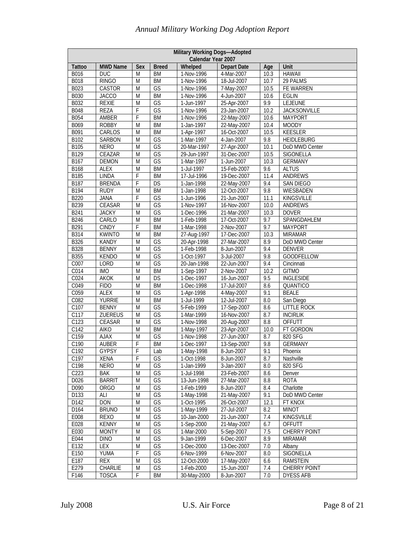|                  | <b>Military Working Dogs-Adopted</b><br>Calendar Year 2007 |                |                          |             |                    |      |                     |  |  |  |  |
|------------------|------------------------------------------------------------|----------------|--------------------------|-------------|--------------------|------|---------------------|--|--|--|--|
| <b>Tattoo</b>    | <b>MWD Name</b>                                            | Sex            | <b>Breed</b>             | Whelped     | <b>Depart Date</b> | Age  | Unit                |  |  |  |  |
| B016             | DUC                                                        | M              | <b>BM</b>                | 1-Nov-1996  | 4-Mar-2007         | 10.3 | <b>HAWAII</b>       |  |  |  |  |
| <b>B018</b>      | <b>RINGO</b>                                               | M              | <b>BM</b>                | 1-Nov-1996  | 18-Jul-2007        | 10.7 | 29 PALMS            |  |  |  |  |
| <b>B023</b>      | <b>CASTOR</b>                                              | M              | $\overline{\mathsf{GS}}$ | 1-Nov-1996  | 7-May-2007         | 10.5 | FE WARREN           |  |  |  |  |
| <b>B030</b>      | <b>JACCO</b>                                               | M              | <b>BM</b>                | 1-Nov-1996  | 4-Jun-2007         | 10.6 | <b>EGLIN</b>        |  |  |  |  |
| <b>B032</b>      | <b>REXIE</b>                                               | M              | $\overline{\mathsf{GS}}$ | 1-Jun-1997  | 25-Apr-2007        | 9.9  | <b>LEJEUNE</b>      |  |  |  |  |
| <b>B048</b>      | <b>REZA</b>                                                | F              | GS                       | 1-Nov-1996  | 23-Jan-2007        | 10.2 | <b>JACKSONVILLE</b> |  |  |  |  |
| <b>B054</b>      | AMBER                                                      | F              | <b>BM</b>                | 1-Nov-1996  | 22-May-2007        | 10.6 | <b>MAYPORT</b>      |  |  |  |  |
| B069             | <b>ROBBY</b>                                               | M              | <b>BM</b>                | 1-Jan-1997  | 22-May-2007        | 10.4 | <b>MOODY</b>        |  |  |  |  |
| B091             | CARLOS                                                     | M              | BM                       | 1-Apr-1997  | 16-Oct-2007        | 10.5 | <b>KEESLER</b>      |  |  |  |  |
| B102             | <b>SARBON</b>                                              | M              | GS                       | 1-Mar-1997  | 4-Jan-2007         | 9.8  | <b>HEIDLEBURG</b>   |  |  |  |  |
| <b>B105</b>      | <b>NERO</b>                                                | M              | GS                       | 20-Mar-1997 | 27-Apr-2007        | 10.1 | DoD MWD Center      |  |  |  |  |
| B129             | CEAZAR                                                     | $\overline{M}$ | GS                       | 29-Jun-1997 | 31-Dec-2007        | 10.5 | <b>SIGONELLA</b>    |  |  |  |  |
| B167             | DEMON                                                      | M              | GS                       | 1-Mar-1997  | 1-Jun-2007         | 10.3 | <b>GERMANY</b>      |  |  |  |  |
| <b>B168</b>      | <b>ALEX</b>                                                | M              | <b>BM</b>                | 1-Jul-1997  | 15-Feb-2007        | 9.6  | <b>ALTUS</b>        |  |  |  |  |
| <b>B185</b>      | <b>LINDA</b>                                               | F              | <b>BM</b>                | 17-Jul-1996 | 19-Dec-2007        | 11.4 | <b>ANDREWS</b>      |  |  |  |  |
| <b>B187</b>      | <b>BRENDA</b>                                              | F              | DS                       | 1-Jan-1998  | 22-May-2007        | 9.4  | <b>SAN DIEGO</b>    |  |  |  |  |
| <b>B194</b>      | <b>RUDY</b>                                                | M              | <b>BM</b>                | 1-Jan-1998  | 12-Oct-2007        | 9.8  | WIESBADEN           |  |  |  |  |
| <b>B220</b>      | <b>JANA</b>                                                | F              | GS                       | 1-Jun-1996  | 21-Jun-2007        | 11.1 | <b>KINGSVILLE</b>   |  |  |  |  |
| <b>B239</b>      | <b>CEASAR</b>                                              | M              | GS                       | 1-Nov-1997  | 16-Nov-2007        | 10.0 | <b>ANDREWS</b>      |  |  |  |  |
| <b>B241</b>      | <b>JACKY</b>                                               | M              | GS                       | 1-Dec-1996  | 21-Mar-2007        | 10.3 | <b>DOVER</b>        |  |  |  |  |
| <b>B246</b>      | CARLO                                                      | M              | <b>BM</b>                | 1-Feb-1998  | 17-Oct-2007        | 9.7  | SPANGDAHLEM         |  |  |  |  |
| B <sub>291</sub> | <b>CINDY</b>                                               | F              | <b>BM</b>                | 1-Mar-1998  | 2-Nov-2007         | 9.7  | <b>MAYPORT</b>      |  |  |  |  |
| <b>B314</b>      | <b>KWINTO</b>                                              | M              | <b>BM</b>                | 27-Aug-1997 | 17-Dec-2007        | 10.3 | <b>MIRAMAR</b>      |  |  |  |  |
| <b>B326</b>      | <b>KANDY</b>                                               | M              | $\overline{\mathsf{GS}}$ | 20-Apr-1998 | 27-Mar-2007        | 8.9  | DoD MWD Center      |  |  |  |  |
| <b>B328</b>      | <b>BENNY</b>                                               | M              | GS                       | 1-Feb-1998  | 8-Jun-2007         | 9.4  | <b>DENVER</b>       |  |  |  |  |
| <b>B355</b>      | <b>KENDO</b>                                               | M              | GS                       | 1-Oct-1997  | 3-Jul-2007         | 9.8  | <b>GOODFELLOW</b>   |  |  |  |  |
| C <sub>007</sub> | LORD                                                       | M              | GS                       | 20-Jan-1998 | 22-Jun-2007        | 9.4  | Cincinnati          |  |  |  |  |
| C014             | <b>IMO</b>                                                 | M              | <b>BM</b>                | 1-Sep-1997  | 2-Nov-2007         | 10.2 | <b>GITMO</b>        |  |  |  |  |
| C024             | <b>AKOK</b>                                                | M              | DS                       | 1-Dec-1997  | 16-Jun-2007        | 9.5  | <b>INGLESIDE</b>    |  |  |  |  |
| C049             | <b>FIDO</b>                                                | M              | <b>BM</b>                | 1-Dec-1998  | 17-Jul-2007        | 8.6  | QUANTICO            |  |  |  |  |
| C059             | <b>ALEX</b>                                                | M              | $\overline{\mathsf{GS}}$ | 1-Apr-1998  | 4-May-2007         | 9.1  | <b>BEALE</b>        |  |  |  |  |
| C082             | <b>YURRIE</b>                                              | M              | <b>BM</b>                | 1-Jul-1999  | 12-Jul-2007        | 8.0  | San Diego           |  |  |  |  |
| C107             | <b>BENNY</b>                                               | M              | GS                       | 5-Feb-1999  | 17-Sep-2007        | 8.6  | <b>LITTLE ROCK</b>  |  |  |  |  |
| C117             | ZUEREUS                                                    | M              | GS                       | 1-Mar-1999  | 16-Nov-2007        | 8.7  | <b>INCIRLIK</b>     |  |  |  |  |
| C123             | <b>CEASAR</b>                                              | $\overline{M}$ | GS                       | 1-Nov-1998  | 20-Aug-2007        | 8.8  | <b>OFFUTT</b>       |  |  |  |  |
| C142             | <b>AIKO</b>                                                | M              | <b>BM</b>                | 1-May-1997  | 23-Apr-2007        | 10.0 | FT GORDON           |  |  |  |  |
| C159             | <b>AJAX</b>                                                | M              | GS                       | 1-Nov-1998  | 27-Jun-2007        | 8.7  | 820 SFG             |  |  |  |  |
| C190             | <b>AUBER</b>                                               | F              | <b>BM</b>                | 1-Dec-1997  | 13-Sep-2007        | 9.8  | <b>GERMANY</b>      |  |  |  |  |
| C <sub>192</sub> | <b>GYPSY</b>                                               | F              | Lab                      | 1-May-1998  | 8-Jun-2007         | 9.1  | Phoenix             |  |  |  |  |
| C197             | XENA                                                       | F              | GS                       | 1-Oct-1998  | 8-Jun-2007         | 8.7  | Nashville           |  |  |  |  |
| C198             | <b>NERO</b>                                                | M              | GS                       | 1-Jan-1999  | 3-Jan-2007         | 8.0  | 820 SFG             |  |  |  |  |
| C223             | <b>BAK</b>                                                 | M              | GS                       | 1-Jul-1998  | 23-Feb-2007        | 8.6  | Denver              |  |  |  |  |
| D026             | <b>BARRIT</b>                                              | M              | GS                       | 13-Jun-1998 | 27-Mar-2007        | 8.8  | <b>ROTA</b>         |  |  |  |  |
| D090             | <b>ORGO</b>                                                | M              | GS                       | 1-Feb-1999  | 8-Jun-2007         | 8.4  | Charlotte           |  |  |  |  |
| D133             | ALI                                                        | M              | GS                       | 1-May-1998  | 21-May-2007        | 9.1  | DoD MWD Center      |  |  |  |  |
| D142             | <b>DON</b>                                                 | M              | GS                       | 1-Oct-1995  | 26-Oct-2007        | 12.1 | FT KNOX             |  |  |  |  |
| D164             | <b>BRUNO</b>                                               | M              | $\overline{\mathsf{GS}}$ | 1-May-1999  | 27-Jul-2007        | 8.2  | <b>MINOT</b>        |  |  |  |  |
| E008             | <b>REXO</b>                                                | M              | GS                       | 10-Jan-2000 | 21-Jun-2007        | 7.4  | KINGSVILLE          |  |  |  |  |
| E028             | <b>KENNY</b>                                               | M              | GS                       | 1-Sep-2000  | 21-May-2007        | 6.7  | OFFUTT              |  |  |  |  |
| E030             | <b>MONTY</b>                                               | M              | GS                       | 1-Mar-2000  | 5-Sep-2007         | 7.5  | <b>CHERRY POINT</b> |  |  |  |  |
| E044             | <b>DINO</b>                                                | M              | $\overline{\mathsf{GS}}$ | 9-Jan-1999  | 6-Dec-2007         | 8.9  | <b>MIRAMAR</b>      |  |  |  |  |
| E132             | LEX                                                        | M              | GS                       | 1-Dec-2000  | 13-Dec-2007        | 7.0  | Albany              |  |  |  |  |
| E150             | YUMA                                                       | F              | GS                       | 6-Nov-1999  | 6-Nov-2007         | 8.0  | SIGONELLA           |  |  |  |  |
| E187             | REX                                                        | M              | GS                       | 12-Oct-2000 | 17-May-2007        | 6.6  | RAMSTEIN            |  |  |  |  |
| E279             | CHARLIE                                                    | M              | GS                       | 1-Feb-2000  | 15-Jun-2007        | 7.4  | <b>CHERRY POINT</b> |  |  |  |  |
| F146             | <b>TOSCA</b>                                               | F              | BM                       | 30-May-2000 | 8-Jun-2007         | 7.0  | <b>DYESS AFB</b>    |  |  |  |  |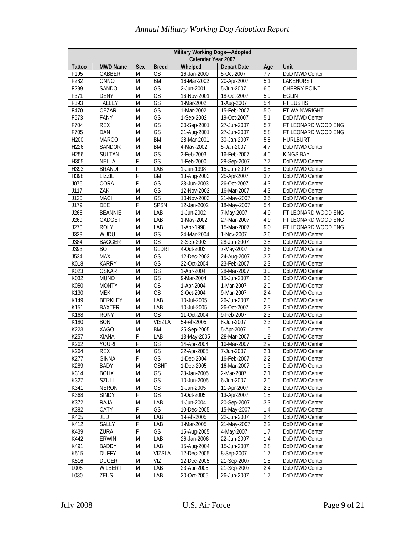|                  | Military Working Dogs-Adopted<br>Calendar Year 2007 |                |                          |             |                           |                  |                     |  |  |  |  |
|------------------|-----------------------------------------------------|----------------|--------------------------|-------------|---------------------------|------------------|---------------------|--|--|--|--|
| <b>Tattoo</b>    | <b>MWD Name</b>                                     | Sex            | <b>Breed</b>             | Whelped     | <b>Depart Date</b>        | Age              | Unit                |  |  |  |  |
| F195             | <b>GABBER</b>                                       | M              | GS                       | 16-Jan-2000 | 5-Oct-2007                | 7.7              | DoD MWD Center      |  |  |  |  |
| F282             | ONNO                                                | M              | <b>BM</b>                | 16-Mar-2002 | 20-Apr-2007               | 5.1              | <b>LAKEHURST</b>    |  |  |  |  |
| F <sub>299</sub> | <b>SANDO</b>                                        | M              | $\overline{\mathsf{GS}}$ | 2-Jun-2001  | 5-Jun-2007                | 6.0              | <b>CHERRY POINT</b> |  |  |  |  |
| F371             | <b>DENY</b>                                         | M              | GS                       | 16-Nov-2001 | 18-Oct-2007               | 5.9              | <b>EGLIN</b>        |  |  |  |  |
| F393             | <b>TALLEY</b>                                       | M              | GS                       | 1-Mar-2002  | 1-Aug-2007                | 5.4              | FT EUSTIS           |  |  |  |  |
| F470             | CEZAR                                               | M              | $\overline{\mathsf{GS}}$ | 1-Mar-2002  | 15-Feb-2007               | 5.0              | FT WAINWRIGHT       |  |  |  |  |
| F573             | FANY                                                | M              | GS                       | 1-Sep-2002  | 19-Oct-2007               | 5.1              | DoD MWD Center      |  |  |  |  |
| F704             | <b>REX</b>                                          | M              | $\overline{\mathsf{GS}}$ | 30-Sep-2001 | $\overline{27}$ -Jun-2007 | 5.7              | FT LEONARD WOOD ENG |  |  |  |  |
| F705             | DAN                                                 | M              | GS                       | 31-Aug-2001 | 27-Jun-2007               | $\overline{5.8}$ | FT LEONARD WOOD ENG |  |  |  |  |
| H200             | <b>MARCO</b>                                        | M              | <b>BM</b>                | 28-Mar-2001 | 30-Jan-2007               | 5.8              | <b>HURLBURT</b>     |  |  |  |  |
| H226             | <b>SANDOR</b>                                       | M              | <b>BM</b>                | 4-May-2002  | 5-Jan-2007                | 4.7              | DoD MWD Center      |  |  |  |  |
| H256             | <b>SULTAN</b>                                       | M              | GS                       | 3-Feb-2003  | 16-Feb-2007               | 4.0              | <b>KINGS BAY</b>    |  |  |  |  |
| H305             | <b>NELLA</b>                                        | F              | $\overline{\mathsf{GS}}$ | 1-Feb-2000  | 28-Sep-2007               | 7.7              | DoD MWD Center      |  |  |  |  |
| H393             | <b>BRANDI</b>                                       | F              | LAB                      | 1-Jan-1998  | 15-Jun-2007               | 9.5              | DoD MWD Center      |  |  |  |  |
| H398             | LIZZIE                                              | F              | <b>BM</b>                | 13-Aug-2003 | 25-Apr-2007               | 3.7              | DoD MWD Center      |  |  |  |  |
| J076             | CORA                                                | F              | $\overline{\mathsf{GS}}$ | 23-Jun-2003 | 26-Oct-2007               | 4.3              | DoD MWD Center      |  |  |  |  |
| J117             | ZAK                                                 | M              | $\overline{\mathsf{GS}}$ | 12-Nov-2002 | 16-Mar-2007               | 4.3              | DoD MWD Center      |  |  |  |  |
| J120             | <b>MACI</b>                                         | M              | GS                       | 10-Nov-2003 | 21-May-2007               | 3.5              | DoD MWD Center      |  |  |  |  |
| J179             | DEE                                                 | F              | <b>SPSN</b>              | 12-Jan-2002 | 18-May-2007               | 5.4              | DoD MWD Center      |  |  |  |  |
| J266             | <b>BEANNIE</b>                                      | $\overline{M}$ | LAB                      | 1-Jun-2002  | 7-May-2007                | 4.9              | FT LEONARD WOOD ENG |  |  |  |  |
| J269             | <b>GADGET</b>                                       | M              | LAB                      | 1-May-2002  | 27-Mar-2007               | 4.9              | FT LEONARD WOOD ENG |  |  |  |  |
| J270             | <b>ROLY</b>                                         | M              | LAB                      | 1-Apr-1998  | 15-Mar-2007               | 9.0              | FT LEONARD WOOD ENG |  |  |  |  |
| J329             | WUDU                                                | M              | GS                       | 24-Mar-2004 | 1-Nov-2007                | $\overline{3.6}$ | DoD MWD Center      |  |  |  |  |
| J384             | <b>BAGGER</b>                                       | M              | $\overline{\mathsf{GS}}$ | 2-Sep-2003  | 28-Jun-2007               | 3.8              | DoD MWD Center      |  |  |  |  |
| J393             | <b>BO</b>                                           | M              | <b>GLDRT</b>             | 4-Oct-2003  | 7-May-2007                | $\overline{3.6}$ | DoD MWD Center      |  |  |  |  |
| J534             | <b>MAX</b>                                          | M              | $\overline{\mathsf{GS}}$ | 12-Dec-2003 | 24-Aug-2007               | 3.7              | DoD MWD Center      |  |  |  |  |
| K018             | <b>KARRY</b>                                        | M              | GS                       | 22-Oct-2004 | 23-Feb-2007               | 2.3              | DoD MWD Center      |  |  |  |  |
| K023             | <b>OSKAR</b>                                        | M              | GS                       | 1-Apr-2004  | 28-Mar-2007               | $\overline{3.0}$ | DoD MWD Center      |  |  |  |  |
| K032             | <b>MUNO</b>                                         | M              | GS                       | 9-Mar-2004  | $15$ -Jun-2007            | $\overline{3.3}$ | DoD MWD Center      |  |  |  |  |
| K050             | <b>MONTY</b>                                        | M              | GS                       | 1-Apr-2004  | 1-Mar-2007                | 2.9              | DoD MWD Center      |  |  |  |  |
| K130             | <b>MEKI</b>                                         | M              | $\overline{\mathsf{GS}}$ | 2-Oct-2004  | 9-Mar-2007                | 2.4              | DoD MWD Center      |  |  |  |  |
| K149             | <b>BERKLEY</b>                                      | M              | LAB                      | 10-Jul-2005 | 26-Jun-2007               | 2.0              | DoD MWD Center      |  |  |  |  |
| K151             | <b>BAXTER</b>                                       | M              | LAB                      | 10-Jul-2005 | 26-Oct-2007               | 2.3              | DoD MWD Center      |  |  |  |  |
| K168             | <b>RONY</b>                                         | $\overline{M}$ | GS                       | 11-Oct-2004 | 9-Feb-2007                | 2.3              | DoD MWD Center      |  |  |  |  |
| K180             | <b>BONI</b>                                         | M              | <b>VISZLA</b>            | 5-Feb-2005  | 8-Jun-2007                | 2.3              | DoD MWD Center      |  |  |  |  |
| K223             | <b>XAGO</b>                                         | M              | <b>BM</b>                | 25-Sep-2005 | 5-Apr-2007                | 1.5              | DoD MWD Center      |  |  |  |  |
| K257             | XIANA                                               | F              | LAB                      | 13-May-2005 | 28-Mar-2007               | 1.9              | DoD MWD Center      |  |  |  |  |
| K262             | <b>YOURI</b>                                        | F              | $\overline{\mathsf{GS}}$ | 14-Apr-2004 | 16-Mar-2007               | 2.9              | DoD MWD Center      |  |  |  |  |
| K264             | <b>REX</b>                                          | M              | GS                       | 22-Apr-2005 | 7-Jun-2007                | 2.1              | DoD MWD Center      |  |  |  |  |
| K277             | <b>GINNA</b>                                        | F              | GS                       | 1-Dec-2004  | 16-Feb-2007               | 2.2              | DoD MWD Center      |  |  |  |  |
| K289             | BADY                                                | M              | <b>GSHP</b>              | 1-Dec-2005  | 16-Mar-2007               | 1.3              | DoD MWD Center      |  |  |  |  |
| K314             | <b>BOHX</b>                                         | M              | GS                       | 28-Jan-2005 | 2-Mar-2007                | 2.1              | DoD MWD Center      |  |  |  |  |
| K327             | <b>SZULI</b>                                        | M              | GS                       | 10-Jun-2005 | 6-Jun-2007                | $\overline{2.0}$ | DoD MWD Center      |  |  |  |  |
| K341             | <b>NERON</b>                                        | M              | GS                       | 1-Jan-2005  | 11-Apr-2007               | 2.3              | DoD MWD Center      |  |  |  |  |
| K368             | <b>SINDY</b>                                        | F              | GS                       | 1-Oct-2005  | 13-Apr-2007               | 1.5              | DoD MWD Center      |  |  |  |  |
| K372             | RAJA                                                | M              | LAB                      | 1-Jun-2004  | 20-Sep-2007               | 3.3              | DoD MWD Center      |  |  |  |  |
| K382             | CATY                                                | F              | GS                       | 10-Dec-2005 | 15-May-2007               | 1.4              | DoD MWD Center      |  |  |  |  |
| K405             | JED                                                 | M              | LAB                      | 1-Feb-2005  | 22-Jun-2007               | 2.4              | DoD MWD Center      |  |  |  |  |
| K412             | <b>SALLY</b>                                        | F              | LAB                      | 1-Mar-2005  | 21-May-2007               | 2.2              | DoD MWD Center      |  |  |  |  |
| K439             | ZURA                                                | F              | GS                       | 15-Aug-2005 | 4-May-2007                | 1.7              | DoD MWD Center      |  |  |  |  |
|                  |                                                     |                |                          |             |                           |                  |                     |  |  |  |  |
| K442             | ERWIN                                               | M              | LAB                      | 26-Jan-2006 | 22-Jun-2007               | 1.4              | DoD MWD Center      |  |  |  |  |
| K491             | <b>BADDY</b>                                        | M              | LAB                      | 15-Aug-2004 | 15-Jun-2007               | 2.8              | DoD MWD Center      |  |  |  |  |
| K515             | <b>DUFFY</b>                                        | M              | <b>VIZSLA</b>            | 12-Dec-2005 | 8-Sep-2007                | 1.7              | DoD MWD Center      |  |  |  |  |
| K516             | <b>DUGER</b>                                        | M              | VIZ                      | 12-Dec-2005 | 21-Sep-2007               | 1.8              | DoD MWD Center      |  |  |  |  |
| L005             | WILBERT                                             | M              | LAB                      | 23-Apr-2005 | 21-Sep-2007               | 2.4              | DoD MWD Center      |  |  |  |  |
| L030             | ZEUS                                                | M              | LAB                      | 20-Oct-2005 | 26-Jun-2007               | 1.7              | DoD MWD Center      |  |  |  |  |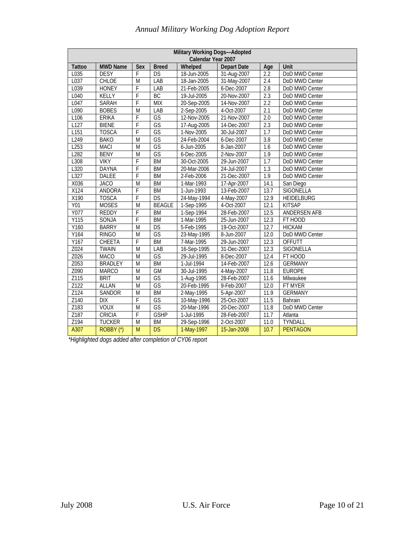| <b>Military Working Dogs-Adopted</b><br>Calendar Year 2007 |                 |                |                          |             |                    |                  |                     |  |  |  |
|------------------------------------------------------------|-----------------|----------------|--------------------------|-------------|--------------------|------------------|---------------------|--|--|--|
| <b>Tattoo</b>                                              | <b>MWD Name</b> | Sex            | <b>Breed</b>             | Whelped     | <b>Depart Date</b> | Age              | Unit                |  |  |  |
| L035                                                       | <b>DESY</b>     | F              | DS                       | 18-Jun-2005 | 31-Aug-2007        | 2.2              | DoD MWD Center      |  |  |  |
| L037                                                       | <b>CHLOE</b>    | M              | LAB                      | 18-Jan-2005 | 31-May-2007        | 2.4              | DoD MWD Center      |  |  |  |
| L039                                                       | <b>HONEY</b>    | F              | LAB                      | 21-Feb-2005 | 6-Dec-2007         | 2.8              | DoD MWD Center      |  |  |  |
| L040                                                       | KELLY           | F              | BC                       | 19-Jul-2005 | 20-Nov-2007        | 2.3              | DoD MWD Center      |  |  |  |
| L047                                                       | SARAH           | $\overline{F}$ | <b>MIX</b>               | 20-Sep-2005 | 14-Nov-2007        | 2.2              | DoD MWD Center      |  |  |  |
| L090                                                       | <b>BOBES</b>    | M              | LAB                      | 2-Sep-2005  | 4-Oct-2007         | 2.1              | DoD MWD Center      |  |  |  |
| L106                                                       | <b>ERIKA</b>    | F              | GS                       | 12-Nov-2005 | 21-Nov-2007        | $\overline{2.0}$ | DoD MWD Center      |  |  |  |
| L127                                                       | <b>BIENE</b>    | F              | GS                       | 17-Aug-2005 | 14-Dec-2007        | 2.3              | DoD MWD Center      |  |  |  |
| L151                                                       | <b>TOSCA</b>    | F              | $\overline{\mathsf{GS}}$ | 1-Nov-2005  | 30-Jul-2007        | $\overline{1.7}$ | DoD MWD Center      |  |  |  |
| L <sub>249</sub>                                           | <b>BAKO</b>     | M              | GS                       | 24-Feb-2004 | 6-Dec-2007         | 3.8              | DoD MWD Center      |  |  |  |
| L <sub>253</sub>                                           | <b>MACI</b>     | $\overline{M}$ | GS                       | 6-Jun-2005  | 8-Jan-2007         | 1.6              | DoD MWD Center      |  |  |  |
| L <sub>282</sub>                                           | <b>BENY</b>     | M              | GS                       | 6-Dec-2005  | 2-Nov-2007         | 1.9              | DoD MWD Center      |  |  |  |
| L308                                                       | <b>VIKY</b>     | F              | <b>BM</b>                | 30-Oct-2005 | 29-Jun-2007        | $\overline{1.7}$ | DoD MWD Center      |  |  |  |
| L320                                                       | <b>DAYNA</b>    | F              | <b>BM</b>                | 20-Mar-2006 | 24-Jul-2007        | 1.3              | DoD MWD Center      |  |  |  |
| L327                                                       | DALEE           | F              | <b>BM</b>                | 2-Feb-2006  | 21-Dec-2007        | 1.9              | DoD MWD Center      |  |  |  |
| X036                                                       | <b>JACO</b>     | M              | <b>BM</b>                | 1-Mar-1993  | 17-Apr-2007        | 14.1             | San Diego           |  |  |  |
| X124                                                       | ANDORA          | F              | <b>BM</b>                | 1-Jun-1993  | 13-Feb-2007        | 13.7             | SIGONELLA           |  |  |  |
| X190                                                       | <b>TOSCA</b>    | $\overline{F}$ | DS                       | 24-May-1994 | 4-May-2007         | 12.9             | HEIDELBURG          |  |  |  |
| <b>Y01</b>                                                 | <b>MOSES</b>    | M              | <b>BEAGLE</b>            | 1-Sep-1995  | 4-Oct-2007         | 12.1             | <b>KITSAP</b>       |  |  |  |
| Y077                                                       | <b>REDDY</b>    | F              | <b>BM</b>                | 1-Sep-1994  | 28-Feb-2007        | 12.5             | <b>ANDERSEN AFB</b> |  |  |  |
| $\overline{Y115}$                                          | SONJA           | F              | <b>BM</b>                | 1-Mar-1995  | 25-Jun-2007        | 12.3             | FT HOOD             |  |  |  |
| Y160                                                       | <b>BARRY</b>    | M              | DS                       | 5-Feb-1995  | 19-Oct-2007        | 12.7             | <b>HICKAM</b>       |  |  |  |
| Y164                                                       | <b>RINGO</b>    | M              | GS                       | 23-May-1995 | 8-Jun-2007         | 12.0             | DoD MWD Center      |  |  |  |
| Y167                                                       | CHEETA          | $\overline{F}$ | <b>BM</b>                | 7-Mar-1995  | 29-Jun-2007        | 12.3             | <b>OFFUTT</b>       |  |  |  |
| Z024                                                       | <b>TWAIN</b>    | M              | LAB                      | 16-Sep-1995 | 31-Dec-2007        | 12.3             | SIGONELLA           |  |  |  |
| Z026                                                       | <b>MACO</b>     | M              | GS                       | 29-Jul-1995 | 8-Dec-2007         | 12.4             | FT HOOD             |  |  |  |
| Z053                                                       | <b>BRADLEY</b>  | $\overline{M}$ | <b>BM</b>                | 1-Jul-1994  | 14-Feb-2007        | 12.6             | <b>GERMANY</b>      |  |  |  |
| Z090                                                       | <b>MARCO</b>    | M              | GM                       | 30-Jul-1995 | 4-May-2007         | 11.8             | <b>EUROPE</b>       |  |  |  |
| Z115                                                       | <b>BRIT</b>     | M              | $\overline{\mathsf{GS}}$ | 1-Aug-1995  | 28-Feb-2007        | 11.6             | Milwaukee           |  |  |  |
| Z122                                                       | <b>ALLAN</b>    | M              | GS                       | 20-Feb-1995 | 9-Feb-2007         | 12.0             | FT MYER             |  |  |  |
| Z124                                                       | SANDOR          | M              | <b>BM</b>                | 2-May-1995  | 5-Apr-2007         | 11.9             | <b>GERMANY</b>      |  |  |  |
| Z140                                                       | <b>DIX</b>      | F              | GS                       | 10-May-1996 | 25-Oct-2007        | 11.5             | Bahrain             |  |  |  |
| Z183                                                       | <b>VOUX</b>     | $\overline{M}$ | GS                       | 20-Mar-1996 | 20-Dec-2007        | 11.8             | DoD MWD Center      |  |  |  |
| Z187                                                       | <b>CRICIA</b>   | Ŧ              | <b>GSHP</b>              | 1-Jul-1995  | 28-Feb-2007        | 11.7             | Atlanta             |  |  |  |
| Z194                                                       | <b>TUCKER</b>   | $\overline{M}$ | <b>BM</b>                | 29-Sep-1996 | 2-Oct-2007         | 11.0             | TYNDALL             |  |  |  |
| A307                                                       | ROBBY (*)       | M              | DS                       | 1-May-1997  | 15-Jan-2008        | 10.7             | <b>PENTAGON</b>     |  |  |  |

 *\*Highlighted dogs added after completion of CY06 report*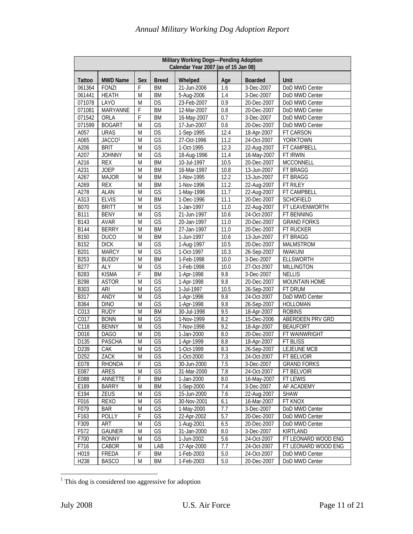|                  | Military Working Dogs-Pending Adoption<br>Calendar Year 2007 (as of 15 Jan 08) |             |                          |             |                   |                |                      |  |  |  |  |
|------------------|--------------------------------------------------------------------------------|-------------|--------------------------|-------------|-------------------|----------------|----------------------|--|--|--|--|
| <b>Tattoo</b>    | <b>MWD Name</b>                                                                | Sex         | <b>Breed</b>             | Whelped     | Age               | <b>Boarded</b> | Unit                 |  |  |  |  |
| 061364           | FONZI                                                                          | F           | BM                       | 21-Jun-2006 | 1.6               | 3-Dec-2007     | DoD MWD Center       |  |  |  |  |
| 061441           | <b>HEATH</b>                                                                   | M           | <b>BM</b>                | 5-Aug-2006  | 1.4               | 3-Dec-2007     | DoD MWD Center       |  |  |  |  |
| 071078           | LAYO                                                                           | M           | DS                       | 23-Feb-2007 | 0.9               | 20-Dec-2007    | DoD MWD Center       |  |  |  |  |
| 071081           | MARYANNE                                                                       | F           | <b>BM</b>                | 12-Mar-2007 | 0.8               | 20-Dec-2007    | DoD MWD Center       |  |  |  |  |
| 071542           | ORLA                                                                           | F           | <b>BM</b>                | 16-May-2007 | 0.7               | 3-Dec-2007     | DoD MWD Center       |  |  |  |  |
| 071599           | <b>BOGART</b>                                                                  | M           | GS                       | 17-Jun-2007 | 0.6               | 20-Dec-2007    | DoD MWD Center       |  |  |  |  |
| A057             | <b>URAS</b>                                                                    | M           | DS                       | 1-Sep-1995  | 12.4              | 18-Apr-2007    | FT CARSON            |  |  |  |  |
| A065             | JACCO <sup>1</sup>                                                             | M           | GS                       | 27-Oct-1996 | 11.2              | 24-Oct-2007    | YORKTOWN             |  |  |  |  |
| A206             | <b>BRIT</b>                                                                    | M           | GS                       | 1-Oct-1995  | 12.3              | 22-Aug-2007    | FT CAMPBELL          |  |  |  |  |
| A207             | <b>JOHNNY</b>                                                                  | M           | $\overline{\mathsf{GS}}$ | 18-Aug-1996 | 11.4              | 16-May-2007    | FT IRWIN             |  |  |  |  |
| A216             | <b>REX</b>                                                                     | M           | <b>BM</b>                | 10-Jul-1997 | 10.5              | 20-Dec-2007    | <b>MCCONNELL</b>     |  |  |  |  |
| A231             | <b>JOEP</b>                                                                    | M           | <b>BM</b>                | 16-Mar-1997 | 10.8              | 13-Jun-2007    | FT BRAGG             |  |  |  |  |
| A267             | <b>MAJOR</b>                                                                   | M           | <b>BM</b>                | 1-Nov-1995  | 12.2              | 13-Jun-2007    | FT BRAGG             |  |  |  |  |
| A269             | <b>REX</b>                                                                     | M           | <b>BM</b>                | 1-Nov-1996  | $\overline{11.2}$ | 22-Aug-2007    | FT RILEY             |  |  |  |  |
| A278             | <b>ALAN</b>                                                                    | M           | GS                       | 1-May-1996  | 11.7              | 22-Aug-2007    | <b>FT CAMPBELL</b>   |  |  |  |  |
| A313             | <b>ELVIS</b>                                                                   | M           | <b>BM</b>                | 1-Dec-1996  | 11.1              | 20-Dec-2007    | <b>SCHOFIELD</b>     |  |  |  |  |
| <b>B070</b>      | <b>BRITT</b>                                                                   | M           | GS                       | 1-Jan-1997  | 11.0              | 22-Aug-2007    | FT LEAVENWORTH       |  |  |  |  |
| <b>B111</b>      | <b>BENY</b>                                                                    | M           | $\overline{\mathsf{GS}}$ | 21-Jun-1997 | 10.6              | 24-Oct-2007    | FT BENNING           |  |  |  |  |
| B143             | <b>AVAR</b>                                                                    | M           | GS                       | 20-Jan-1997 | 11.0              | 20-Dec-2007    | <b>GRAND FORKS</b>   |  |  |  |  |
| <b>B144</b>      | <b>BERRY</b>                                                                   | M           | <b>BM</b>                | 27-Jan-1997 | 11.0              | 20-Dec-2007    | FT RUCKER            |  |  |  |  |
| <b>B150</b>      | <b>DUCO</b>                                                                    | M           | <b>BM</b>                | 1-Jun-1997  | 10.6              | 13-Jun-2007    | FT BRAGG             |  |  |  |  |
| B152             | DICK                                                                           | M           | GS                       | 1-Aug-1997  | 10.5              | 20-Dec-2007    | MALMSTROM            |  |  |  |  |
| B201             | <b>MARCY</b>                                                                   | M           | $\overline{\mathsf{GS}}$ | 1-Oct-1997  | 10.3              | 26-Sep-2007    | <b>IWAKUNI</b>       |  |  |  |  |
| <b>B253</b>      | <b>BUDDY</b>                                                                   | M           | <b>BM</b>                | 1-Feb-1998  | 10.0              | 3-Dec-2007     | <b>ELLSWORTH</b>     |  |  |  |  |
| B277             | <b>ALY</b>                                                                     | M           | $\overline{\mathsf{GS}}$ | 1-Feb-1998  | 10.0              | 27-Oct-2007    | <b>MILLINGTON</b>    |  |  |  |  |
| <b>B283</b>      | <b>KISMA</b>                                                                   | $\mathsf F$ | <b>BM</b>                | 1-Apr-1998  | 9.8               | 3-Dec-2007     | <b>NELLIS</b>        |  |  |  |  |
| <b>B298</b>      | <b>ASTOR</b>                                                                   | M           | GS                       | 1-Apr-1998  | 9.8               | 20-Dec-2007    | <b>MOUNTAIN HOME</b> |  |  |  |  |
| B303             | ARI                                                                            | M           | GS                       | 1-Jul-1997  | 10.5              | 26-Sep-2007    | FT DRUM              |  |  |  |  |
| <b>B317</b>      | ANDY                                                                           | M           | $\overline{\mathsf{GS}}$ | 1-Apr-1998  | 9.8               | 24-Oct-2007    | DoD MWD Center       |  |  |  |  |
| B364             | <b>DINO</b>                                                                    | M           | $\overline{\mathsf{GS}}$ | 1-Apr-1998  | 9.8               | 26-Sep-2007    | <b>HOLLOMAN</b>      |  |  |  |  |
| C013             | <b>RUDY</b>                                                                    | M           | <b>BM</b>                | 30-Jul-1998 | 9.5               | 18-Apr-2007    | <b>ROBINS</b>        |  |  |  |  |
| C017             | <b>BONN</b>                                                                    | M           | GS                       | 1-Nov-1999  | 8.2               | 15-Dec-2006    | ABERDEEN PRV GRD     |  |  |  |  |
| C118             | <b>BENNY</b>                                                                   | M           | GS                       | 7-Nov-1998  | 9.2               | 18-Apr-2007    | <b>BEAUFORT</b>      |  |  |  |  |
| D016             | <b>DAGO</b>                                                                    | M           | <b>DS</b>                | 1-Jan-2000  | 8.0               | 20-Dec-2007    | FT WAINWRIGHT        |  |  |  |  |
| D135             | <b>PASCHA</b>                                                                  | M           | GS                       | 1-Apr-1999  | 8.8               | 18-Apr-2007    | FT BLISS             |  |  |  |  |
| D239             | CAK                                                                            | M           | $\overline{\mathsf{GS}}$ | 1-Oct-1999  | 8.3               | 26-Sep-2007    | <b>LEJEUNE MCB</b>   |  |  |  |  |
| D <sub>252</sub> | ZACK                                                                           | ${\sf M}$   | GS                       | 1-Oct-2000  | 7.3               | 24-Oct-2007    | FT BELVOIR           |  |  |  |  |
| E078             | <b>RHONDA</b>                                                                  | F           | GS                       | 30-Jun-2000 | 7.5               | 3-Dec-2007     | <b>GRAND FORKS</b>   |  |  |  |  |
| E087             | ARES                                                                           | M           | GS                       | 31-Mar-2000 | 7.8               | 24-Oct-2007    | FT BELVOIR           |  |  |  |  |
| E088             | ANNETTE                                                                        | F           | BM                       | 1-Jan-2000  | 8.0               | 16-May-2007    | <b>FT LEWIS</b>      |  |  |  |  |
| E189             | <b>BARRY</b>                                                                   | M           | BM                       | 1-Sep-2000  | 7.4               | 3-Dec-2007     | AF ACADEMY           |  |  |  |  |
| E194             | ZEUS                                                                           | M           | GS                       | 15-Jun-2000 | 7.6               | 22-Aug-2007    | <b>SHAW</b>          |  |  |  |  |
| F016             | REXO                                                                           | M           | GS                       | 30-Nov-2001 | 6.1               | 16-Mar-2007    | FT KNOX              |  |  |  |  |
| F079             | BAR                                                                            | M           | GS                       | 1-May-2000  | 7.7               | 3-Dec-2007     | DoD MWD Center       |  |  |  |  |
| F163             | POLLY                                                                          | $\mathsf F$ | GS                       | 22-Apr-2002 | 5.7               | 20-Dec-2007    | DoD MWD Center       |  |  |  |  |
| F309             | ART                                                                            | M           | GS                       | 1-Aug-2001  | 6.5               | 20-Dec-2007    | DoD MWD Center       |  |  |  |  |
| F572             | <b>GAUNER</b>                                                                  | M           | GS                       | 31-Jan-2000 | 8.0               | 3-Dec-2007     | KIRTLAND             |  |  |  |  |
| F700             | <b>RONNY</b>                                                                   | M           | GS                       | 1-Jun-2002  | 5.6               | 24-Oct-2007    | FT LEONARD WOOD ENG  |  |  |  |  |
| F716             | CABOR                                                                          | M           | LAB                      | 17-Apr-2000 | 7.7               | 24-Oct-2007    | FT LEONARD WOOD ENG  |  |  |  |  |
| H019             | FREDA                                                                          | F           | BM                       | 1-Feb-2003  | 5.0               | 24-Oct-2007    | DoD MWD Center       |  |  |  |  |
| H238             | <b>BASCO</b>                                                                   | M           | BM                       | 1-Feb-2003  | 5.0               | 20-Dec-2007    | DoD MWD Center       |  |  |  |  |
|                  |                                                                                |             |                          |             |                   |                |                      |  |  |  |  |

<sup>&</sup>lt;sup>1</sup> This dog is considered too aggressive for adoption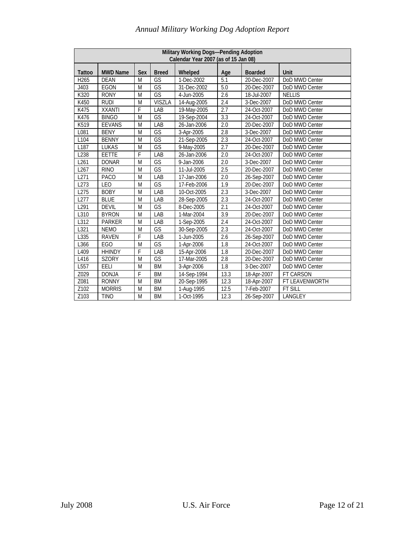| Military Working Dogs-Pending Adoption<br>Calendar Year 2007 (as of 15 Jan 08)                              |                 |           |                          |             |                  |                |                |  |  |  |
|-------------------------------------------------------------------------------------------------------------|-----------------|-----------|--------------------------|-------------|------------------|----------------|----------------|--|--|--|
| <b>Tattoo</b>                                                                                               | <b>MWD Name</b> | Sex       | <b>Breed</b>             | Whelped     | Age              | <b>Boarded</b> | Unit           |  |  |  |
| H265                                                                                                        | <b>DEAN</b>     | M         | GS                       | 1-Dec-2002  | 5.1              | 20-Dec-2007    | DoD MWD Center |  |  |  |
| J403                                                                                                        | EGON            | M         | $\overline{\mathsf{GS}}$ | 31-Dec-2002 | 5.0              | 20-Dec-2007    | DoD MWD Center |  |  |  |
| K320                                                                                                        | <b>RONY</b>     | ${\sf M}$ | GS                       | 4-Jun-2005  | 2.6              | 18-Jul-2007    | <b>NELLIS</b>  |  |  |  |
| K450                                                                                                        | <b>RUDI</b>     | M         | <b>VISZLA</b>            | 14-Aug-2005 | 2.4              | 3-Dec-2007     | DoD MWD Center |  |  |  |
| K475                                                                                                        | <b>XXANTI</b>   | F         | LAB                      | 19-May-2005 | 2.7              | 24-Oct-2007    | DoD MWD Center |  |  |  |
| K476                                                                                                        | <b>BINGO</b>    | M         | GS                       | 19-Sep-2004 | $\overline{3.3}$ | 24-Oct-2007    | DoD MWD Center |  |  |  |
| K519                                                                                                        | <b>EEVANS</b>   | M         | LAB                      | 26-Jan-2006 | 2.0              | 20-Dec-2007    | DoD MWD Center |  |  |  |
| L081                                                                                                        | <b>BENY</b>     | M         | GS                       | 3-Apr-2005  | $\overline{2.8}$ | 3-Dec-2007     | DoD MWD Center |  |  |  |
| L104                                                                                                        | <b>BENNY</b>    | M         | GS                       | 21-Sep-2005 | 2.3              | 24-Oct-2007    | DoD MWD Center |  |  |  |
| $\overline{\mathsf{GS}}$<br>2.7<br>L187<br><b>LUKAS</b><br>M<br>20-Dec-2007<br>DoD MWD Center<br>9-May-2005 |                 |           |                          |             |                  |                |                |  |  |  |
| L238                                                                                                        | <b>EETTE</b>    | F         | LAB                      | 26-Jan-2006 | 2.0              | 24-Oct-2007    | DoD MWD Center |  |  |  |
| L261                                                                                                        | <b>DONAR</b>    | M         | $\overline{\mathsf{GS}}$ | 9-Jan-2006  | $\overline{2.0}$ | 3-Dec-2007     | DoD MWD Center |  |  |  |
| L267                                                                                                        | <b>RINO</b>     | M         | GS                       | 11-Jul-2005 | 2.5              | 20-Dec-2007    | DoD MWD Center |  |  |  |
| L271                                                                                                        | <b>PACO</b>     | M         | LAB                      | 17-Jan-2006 | 2.0              | 26-Sep-2007    | DoD MWD Center |  |  |  |
| L273                                                                                                        | LEO             | M         | GS                       | 17-Feb-2006 | 1.9              | 20-Dec-2007    | DoD MWD Center |  |  |  |
| L275                                                                                                        | <b>BOBY</b>     | M         | LAB                      | 10-Oct-2005 | 2.3              | 3-Dec-2007     | DoD MWD Center |  |  |  |
| L277                                                                                                        | <b>BLUE</b>     | M         | LAB                      | 28-Sep-2005 | 2.3              | 24-Oct-2007    | DoD MWD Center |  |  |  |
| L291                                                                                                        | <b>DEVIL</b>    | M         | GS                       | 8-Dec-2005  | 2.1              | 24-Oct-2007    | DoD MWD Center |  |  |  |
| L310                                                                                                        | <b>BYRON</b>    | M         | LAB                      | 1-Mar-2004  | 3.9              | 20-Dec-2007    | DoD MWD Center |  |  |  |
| L312                                                                                                        | <b>PARKER</b>   | M         | LAB                      | 1-Sep-2005  | 2.4              | 24-Oct-2007    | DoD MWD Center |  |  |  |
| L321                                                                                                        | <b>NEMO</b>     | M         | $\overline{\text{GS}}$   | 30-Sep-2005 | 2.3              | 24-Oct-2007    | DoD MWD Center |  |  |  |
| L335                                                                                                        | <b>RAVEN</b>    | F         | LAB                      | 1-Jun-2005  | $\overline{2.6}$ | 26-Sep-2007    | DoD MWD Center |  |  |  |
| L366                                                                                                        | <b>EGO</b>      | M         | GS                       | 1-Apr-2006  | $\overline{1.8}$ | 24-Oct-2007    | DoD MWD Center |  |  |  |
| L409                                                                                                        | <b>HHINDY</b>   | F         | LAB                      | 15-Apr-2006 | 1.8              | 20-Dec-2007    | DoD MWD Center |  |  |  |
| L416                                                                                                        | <b>SZORY</b>    | M         | $\overline{\mathsf{GS}}$ | 17-Mar-2005 | 2.8              | 20-Dec-2007    | DoD MWD Center |  |  |  |
| L557                                                                                                        | EELI            | M         | <b>BM</b>                | 3-Apr-2006  | 1.8              | 3-Dec-2007     | DoD MWD Center |  |  |  |
| Z029                                                                                                        | <b>DONJA</b>    | F         | <b>BM</b>                | 14-Sep-1994 | 13.3             | 18-Apr-2007    | FT CARSON      |  |  |  |
| Z081                                                                                                        | <b>RONNY</b>    | M         | <b>BM</b>                | 20-Sep-1995 | 12.3             | 18-Apr-2007    | FT LEAVENWORTH |  |  |  |
| Z102                                                                                                        | <b>MORRIS</b>   | M         | <b>BM</b>                | 1-Aug-1995  | 12.5             | 7-Feb-2007     | FT SILL        |  |  |  |
| Z103                                                                                                        | <b>TINO</b>     | M         | BM                       | 1-Oct-1995  | 12.3             | 26-Sep-2007    | LANGLEY        |  |  |  |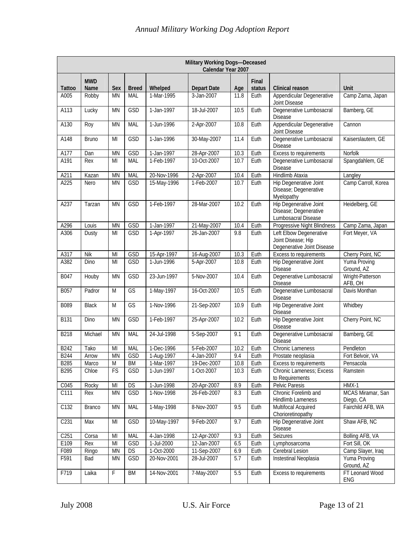|                  | Military Working Dogs-Deceased<br>Calendar Year 2007 |                |              |             |                    |      |                 |                                                                               |                                |  |  |  |
|------------------|------------------------------------------------------|----------------|--------------|-------------|--------------------|------|-----------------|-------------------------------------------------------------------------------|--------------------------------|--|--|--|
| Tattoo           | <b>MWD</b><br>Name                                   | Sex            | <b>Breed</b> | Whelped     | <b>Depart Date</b> | Age  | Final<br>status | Clinical reason                                                               | <b>Unit</b>                    |  |  |  |
| A005             | Robby                                                | <b>MN</b>      | <b>MAL</b>   | 1-Mar-1995  | 3-Jan-2007         | 11.8 | Euth            | Appendicular Degenerative<br>Joint Disease                                    | Camp Zama, Japan               |  |  |  |
| A113             | Lucky                                                | <b>MN</b>      | GSD          | 1-Jan-1997  | 18-Jul-2007        | 10.5 | Euth            | Degenerative Lumbosacral<br>Disease                                           | Bamberg, GE                    |  |  |  |
| A130             | Roy                                                  | <b>MN</b>      | MAL          | 1-Jun-1996  | 2-Apr-2007         | 10.8 | Euth            | Appendicular Degenerative<br>Joint Disease                                    | Cannon                         |  |  |  |
| A148             | <b>Bruno</b>                                         | MI             | GSD          | 1-Jan-1996  | 30-May-2007        | 11.4 | Euth            | Degenerative Lumbosacral<br><b>Disease</b>                                    | Kaiserslautern, GE             |  |  |  |
| A177             | Dan                                                  | <b>MN</b>      | GSD          | 1-Jan-1997  | 28-Apr-2007        | 10.3 | Euth            | Excess to requirements                                                        | Norfolk                        |  |  |  |
| A191             | Rex                                                  | MI             | MAL          | 1-Feb-1997  | 10-Oct-2007        | 10.7 | Euth            | Degenerative Lumbosacral<br>Disease                                           | Spangdahlem, GE                |  |  |  |
| A211             | Kazan                                                | <b>MN</b>      | <b>MAL</b>   | 20-Nov-1996 | 2-Apr-2007         | 10.4 | Euth            | Hindlimb Ataxia                                                               | Langley                        |  |  |  |
| A225             | Nero                                                 | <b>MN</b>      | GSD          | 15-May-1996 | 1-Feb-2007         | 10.7 | Euth            | Hip Degenerative Joint<br>Disease; Degenerative<br>Myelopathy                 | Camp Carroll, Korea            |  |  |  |
| A237             | Tarzan                                               | <b>MN</b>      | <b>GSD</b>   | 1-Feb-1997  | 28-Mar-2007        | 10.2 | Euth            | <b>Hip Degenerative Joint</b><br>Disease; Degenerative<br>Lumbosacral Disease | Heidelberg, GE                 |  |  |  |
| A296             | Louis                                                | <b>MN</b>      | GSD          | 1-Jan-1997  | 21-May-2007        | 10.4 | Euth            | Progressive Night Blindness                                                   | Camp Zama, Japan               |  |  |  |
| A306             | Dusty                                                | MI             | GSD          | 1-Apr-1997  | 26-Jan-2007        | 9.8  | Euth            | Left Elbow Degenerative<br>Joint Disease; Hip<br>Degenerative Joint Disease   | Fort Meyer, VA                 |  |  |  |
| A317             | <b>Nik</b>                                           | MI             | GSD          | 15-Apr-1997 | 16-Aug-2007        | 10.3 | Euth            | Excess to requirements                                                        | Cherry Point, NC               |  |  |  |
| A382             | Dino                                                 | MI             | <b>GSD</b>   | 1-Jun-1996  | 5-Apr-2007         | 10.8 | Euth            | Hip Degenerative Joint<br>Disease                                             | Yuma Proving<br>Ground, AZ     |  |  |  |
| B047             | Houby                                                | <b>MN</b>      | GSD          | 23-Jun-1997 | 5-Nov-2007         | 10.4 | Euth            | Degenerative Lumbosacral<br><b>Disease</b>                                    | Wright-Patterson<br>AFB, OH    |  |  |  |
| B057             | Padror                                               | M              | GS           | 1-May-1997  | 16-Oct-2007        | 10.5 | Euth            | Degenerative Lumbosacral<br>Disease                                           | Davis Monthan                  |  |  |  |
| B089             | <b>Black</b>                                         | M              | GS           | 1-Nov-1996  | 21-Sep-2007        | 10.9 | Euth            | <b>Hip Degenerative Joint</b><br>Disease                                      | Whidbey                        |  |  |  |
| <b>B131</b>      | Dino                                                 | <b>MN</b>      | GSD          | 1-Feb-1997  | 25-Apr-2007        | 10.2 | Euth            | <b>Hip Degenerative Joint</b><br>Disease                                      | Cherry Point, NC               |  |  |  |
| B218             | Michael                                              | <b>MN</b>      | MAL          | 24-Jul-1998 | 5-Sep-2007         | 9.1  | Euth            | Degenerative Lumbosacral<br>Disease                                           | Bamberg, GE                    |  |  |  |
| B242             | Tako                                                 | MI             | MAL          | 1-Dec-1996  | 5-Feb-2007         | 10.2 | Euth            | Chronic Lameness                                                              | Pendleton                      |  |  |  |
| <b>B244</b>      | Arrow                                                | <b>MN</b>      | GSD          | 1-Aug-1997  | 4-Jan-2007         | 9.4  | Euth            | Prostate neoplasia                                                            | Fort Belvoir, VA               |  |  |  |
| <b>B285</b>      | Marco                                                | $\overline{M}$ | <b>BM</b>    | 1-Mar-1997  | 19-Dec-2007        | 10.8 | Euth            | Excess to requirements                                                        | Pensacola                      |  |  |  |
| <b>B295</b>      | Chloe                                                | FS             | GSD          | 1-Jun-1997  | 1-Oct-2007         | 10.3 | Euth            | <b>Chronic Lameness; Excess</b><br>to Requirements                            | Ramstein                       |  |  |  |
| C045             | Rocky                                                | M <sub>l</sub> | DS           | 1-Jun-1998  | 20-Apr-2007        | 8.9  | Euth            | Pelvic Paresis                                                                | $HMX-1$                        |  |  |  |
| C111             | Rex                                                  | <b>MN</b>      | GSD          | 1-Nov-1998  | 26-Feb-2007        | 8.3  | Euth            | Chronic Forelimb and<br>Hindlimb Lameness                                     | MCAS Miramar, San<br>Diego, CA |  |  |  |
| C132             | Branco                                               | <b>MN</b>      | MAL          | 1-May-1998  | 8-Nov-2007         | 9.5  | Euth            | Multifocal Acquired<br>Chorioretinopathy                                      | Fairchild AFB, WA              |  |  |  |
| C <sub>231</sub> | Max                                                  | MI             | GSD          | 10-May-1997 | 9-Feb-2007         | 9.7  | Euth            | Hip Degenerative Joint<br>Disease                                             | Shaw AFB, NC                   |  |  |  |
| C <sub>251</sub> | Corsa                                                | M <sub>l</sub> | MAL          | 4-Jan-1998  | 12-Apr-2007        | 9.3  | Euth            | Seizures                                                                      | Bolling AFB, VA                |  |  |  |
| E109             | Rex                                                  | $\mathsf{MI}$  | GSD          | 1-Jul-2000  | 12-Jan-2007        | 6.5  | Euth            | Lymphosarcoma                                                                 | Fort Sill, OK                  |  |  |  |
| F089             | Ringo                                                | <b>MN</b>      | DS           | 1-Oct-2000  | 11-Sep-2007        | 6.9  | Euth            | Cerebral Lesion                                                               | Camp Slayer, Iraq              |  |  |  |
| F591             | Bad                                                  | <b>MN</b>      | <b>GSD</b>   | 20-Nov-2001 | 28-Jul-2007        | 5.7  | Euth            | Instestinal Neoplasia                                                         | Yuma Proving<br>Ground, AZ     |  |  |  |
| F719             | Laika                                                | F              | <b>BM</b>    | 14-Nov-2001 | 7-May-2007         | 5.5  | Euth            | Excess to requirements                                                        | FT Leonard Wood<br>ENG         |  |  |  |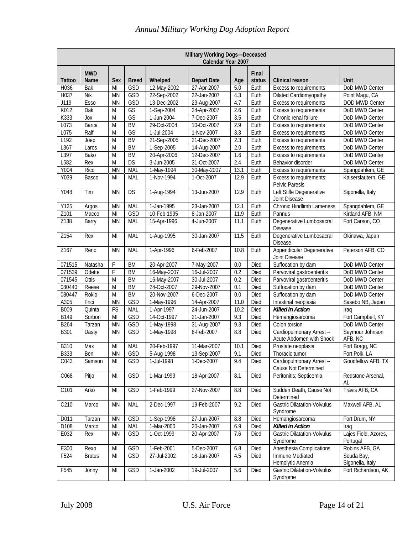| Military Working Dogs-Deceased<br>Calendar Year 2007 |               |                                                                                                             |              |                          |                    |      |        |                                                       |                                  |  |  |
|------------------------------------------------------|---------------|-------------------------------------------------------------------------------------------------------------|--------------|--------------------------|--------------------|------|--------|-------------------------------------------------------|----------------------------------|--|--|
|                                                      | <b>MWD</b>    |                                                                                                             |              |                          |                    |      | Final  |                                                       |                                  |  |  |
| Tattoo                                               | Name          | Sex                                                                                                         | <b>Breed</b> | Whelped                  | <b>Depart Date</b> | Age  | status | Clinical reason                                       | <b>Unit</b>                      |  |  |
| H036                                                 | Bak           | MI                                                                                                          | GSD          | 12-May-2002              | 27-Apr-2007        | 5.0  | Euth   | Excess to requirements                                | DoD MWD Center                   |  |  |
| H037                                                 | <b>Nik</b>    | <b>MN</b>                                                                                                   | GSD          | 22-Sep-2002              | 22-Jan-2007        | 4.3  | Euth   | Dilated Cardiomyopathy                                | Point Magu, CA                   |  |  |
| J119                                                 | <b>Esso</b>   | <b>MN</b>                                                                                                   | GSD          | 13-Dec-2002              | 23-Aug-2007        | 4.7  | Euth   | Excess to requirements                                | DOD MWD Center                   |  |  |
| K012                                                 | Dak           | M                                                                                                           | GS           | 1-Sep-2004               | 24-Apr-2007        | 2.6  | Euth   | Excess to requirements                                | DoD MWD Center                   |  |  |
| K333                                                 | Jox           | $\overline{M}$                                                                                              | GS           | 1-Jun-2004               | 7-Dec-2007         | 3.5  | Euth   | Chronic renal failure                                 | DoD MWD Center                   |  |  |
| L073                                                 | Barca         | $\overline{M}$                                                                                              | <b>BM</b>    | 29-Oct-2004              | 10-Oct-2007        | 2.9  | Euth   | Excess to requirements                                | DoD MWD Center                   |  |  |
| L075                                                 | Ralf          | M                                                                                                           | GS           | 1-Jul-2004               | 1-Nov-2007         | 3.3  | Euth   | Excess to requirements                                | DoD MWD Center                   |  |  |
| L192                                                 | Joep          | $\overline{M}$                                                                                              | <b>BM</b>    | 21-Sep-2005              | 21-Dec-2007        | 2.3  | Euth   | Excess to requirements                                | DoD MWD Center                   |  |  |
| L367                                                 | Laros         | $\overline{M}$                                                                                              | <b>BM</b>    | 1-Sep-2005               | 14-Aug-2007        | 2.0  | Euth   | Excess to requirements                                | DoD MWD Center                   |  |  |
| L397                                                 | Bako          | $\overline{M}$                                                                                              | <b>BM</b>    | 20-Apr-2006              | 12-Dec-2007        | 1.6  | Euth   | Excess to requirements                                | DoD MWD Center                   |  |  |
| L582                                                 | Rex           | M                                                                                                           | <b>DS</b>    | $\overline{3}$ -Jun-2005 | 31-Oct-2007        | 2.4  | Euth   | Behavior disorder                                     | DoD MWD Center                   |  |  |
| Y004                                                 | Rico          | <b>MN</b>                                                                                                   | <b>MAL</b>   | 1-May-1994               | 30-May-2007        | 13.1 | Euth   | Excess to requirements                                | Spangdahlem, GE                  |  |  |
| Y039                                                 | Basco         | MI                                                                                                          | MAL          | 1-Nov-1994               | 1-Oct-2007         | 12.9 | Euth   | Excess to requirements;<br>Pelvic Paresis             | Kaiserslautern, GE               |  |  |
| Y048                                                 | Tim           | <b>MN</b>                                                                                                   | <b>DS</b>    | 1-Aug-1994               | 13-Jun-2007        | 12.9 | Euth   | Left Stifle Degenerative<br>Joint Disease             | Sigonella, Italy                 |  |  |
| Y125                                                 | Argos         | <b>MN</b>                                                                                                   | MAL          | 1-Jan-1995               | 23-Jan-2007        | 12.1 | Euth   | Chronic Hindlimb Lameness                             | Spangdahlem, GE                  |  |  |
| Z101                                                 | Macco         | MI                                                                                                          | GSD          | 10-Feb-1995              | 8-Jan-2007         | 11.9 | Euth   | Pannus                                                | Kirtland AFB, NM                 |  |  |
| Z138                                                 | Barry         | <b>MN</b>                                                                                                   | MAL          | 15-Apr-1996              | 4-Jun-2007         | 11.1 | Euth   | Degenerative Lumbosacral<br><b>Disease</b>            | Fort Carson, CO                  |  |  |
| Z154                                                 | Rex           | MI                                                                                                          | MAL          | 1-Aug-1995               | 30-Jan-2007        | 11.5 | Euth   | Degenerative Lumbosacral<br><b>Disease</b>            | Okinawa, Japan                   |  |  |
| Z167                                                 | Reno          | <b>MN</b>                                                                                                   | <b>MAL</b>   | 1-Apr-1996               | 6-Feb-2007         | 10.8 | Euth   | Appendicular Degenerative<br>Joint Disease            | Peterson AFB, CO                 |  |  |
| 071515                                               | Natasha       | $\mathsf F$                                                                                                 | <b>BM</b>    | 20-Apr-2007              | 7-May-2007         | 0.0  | Died   | Suffocation by dam                                    | DoD MWD Center                   |  |  |
| 071539                                               | Odette        | F                                                                                                           | <b>BM</b>    | 16-May-2007              | 16-Jul-2007        | 0.2  | Died   | Parvoviral gastroenteritis                            | DoD MWD Center                   |  |  |
| 071545                                               | Ottis         | M                                                                                                           | <b>BM</b>    | 16-May-2007              | 30-Jul-2007        | 0.2  | Died   | Parvoviral gastroenteritis                            | DoD MWD Center                   |  |  |
| 080440                                               | Reese         | M                                                                                                           | <b>BM</b>    | 24-Oct-2007              | 29-Nov-2007        | 0.1  | Died   | Suffocation by dam                                    | DoD MWD Center                   |  |  |
| 080447                                               | Rokio         | M                                                                                                           | <b>BM</b>    | 20-Nov-2007              | 6-Dec-2007         | 0.0  | Died   | Suffocation by dam                                    | DoD MWD Center                   |  |  |
| A305                                                 | Frici         | <b>MN</b>                                                                                                   | GSD          | 1-May-1996               | 14-Apr-2007        | 11.0 | Died   | Intestinal neoplasia                                  | Sasebo NB, Japan                 |  |  |
| B009                                                 | Quinta        | FS                                                                                                          | <b>MAL</b>   | 1-Apr-1997               | 24-Jun-2007        | 10.2 | Died   | <b>Killed in Action</b>                               | Iraq                             |  |  |
| B149                                                 | Sorbon        | $\overline{M}$                                                                                              | GSD          | 14-Oct-1997              | 21-Jan-2007        | 9.3  | Died   | Hemangiosarcoma                                       | Fort Campbell, KY                |  |  |
| <b>B264</b>                                          | Tarzan        | <b>MN</b>                                                                                                   | GSD          | 1-May-1998               | 31-Aug-2007        | 9.3  | Died   | Colon torsion                                         | DoD MWD Center                   |  |  |
| B301                                                 | Dasty         | <b>MN</b>                                                                                                   | GSD          | 1-May-1998               | 6-Feb-2007         | 8.8  | Died   | Cardiopulmonary Arrest --<br>Acute Abdomen with Shock | Seymour Johnson<br>AFB, NC       |  |  |
| <b>B310</b>                                          | Max           | MI                                                                                                          | MAL          | 20-Feb-1997              | 11-Mar-2007        | 10.1 | Died   | Prostate neoplasia                                    | Fort Bragg, NC                   |  |  |
| <b>B333</b>                                          | Ben           | MN                                                                                                          | GSD          | 5-Aug-1998               | 13-Sep-2007        | 9.1  | Died   | Thoracic tumor                                        | Fort Polk, LA                    |  |  |
| C043                                                 | Samson        | MI                                                                                                          | GSD          | 1-Jul-1998               | 1-Dec-2007         | 9.4  | Died   | Cardiopulmonary Arrest --<br>Cause Not Determined     | Goodfellow AFB, TX               |  |  |
| C068                                                 | Pitjo         | MI                                                                                                          | GSD          | 1-Mar-1999               | 18-Apr-2007        | 8.1  | Died   | Peritonitis; Septicemia                               | Redstone Arsenal,<br>AL          |  |  |
| C101                                                 | Arko          | M <sub>l</sub>                                                                                              | GSD          | 1-Feb-1999               | 27-Nov-2007        | 8.8  | Died   | Sudden Death, Cause Not<br>Determined                 | Travis AFB, CA                   |  |  |
| C210                                                 | Marco         | <b>MN</b>                                                                                                   | MAL          | 2-Dec-1997               | 19-Feb-2007        | 9.2  | Died   | <b>Gastric Dilatation-Volvulus</b><br>Syndrome        | Maxwell AFB, AL                  |  |  |
| D011                                                 | Tarzan        | <b>MN</b>                                                                                                   | GSD          | 1-Sep-1998               | 27-Jun-2007        | 8.8  | Died   | Hemangiosarcoma                                       | Fort Drum, NY                    |  |  |
| D108                                                 | Marco         | MI                                                                                                          | <b>MAL</b>   | 1-Mar-2000               | 20-Jan-2007        | 6.9  | Died   | Killed in Action                                      | Iraq                             |  |  |
| E032                                                 | Rex           | <b>MN</b>                                                                                                   | GSD          | 1-Oct-1999               | 20-Apr-2007        | 7.6  | Died   | <b>Gastric Dilatation-Volvulus</b><br>Syndrome        | Lajes Field, Azores,<br>Portugal |  |  |
| E300                                                 | Rexo          | MI                                                                                                          | GSD          | 1-Feb-2001               | 5-Dec-2007         | 6.8  | Died   | Anesthesia Complications                              | Robins AFB, GA                   |  |  |
| F524                                                 | <b>Brutus</b> | MI                                                                                                          | GSD          | 27-Jul-2002              | 18-Jan-2007        | 4.5  | Died   | Immune Mediated<br>Hemolytic Anemia                   | Souda Bay,<br>Sigonella, Italy   |  |  |
| F545                                                 | Jonny         | $\mathsf{MI}% _{T}=\mathsf{M}_{T}\!\left( a,b\right) ,\ \mathsf{M}_{T}=\mathsf{M}_{T}\!\left( a,b\right) ,$ | GSD          | 1-Jan-2002               | 19-Jul-2007        | 5.6  | Died   | <b>Gastric Dilatation-Volvulus</b><br>Syndrome        | Fort Richardson, AK              |  |  |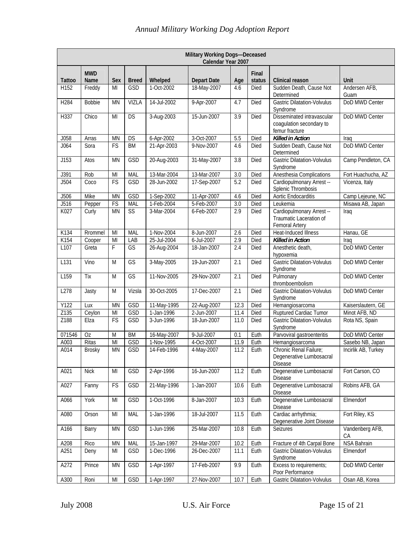|               | Military Working Dogs-Deceased<br>Calendar Year 2007 |                        |                        |             |                    |      |                 |                                                                          |                       |  |  |  |
|---------------|------------------------------------------------------|------------------------|------------------------|-------------|--------------------|------|-----------------|--------------------------------------------------------------------------|-----------------------|--|--|--|
| <b>Tattoo</b> | <b>MWD</b><br>Name                                   | Sex                    | <b>Breed</b>           | Whelped     | <b>Depart Date</b> | Age  | Final<br>status | Clinical reason                                                          | Unit                  |  |  |  |
| H152          | Freddy                                               | MI                     | GSD                    | 1-Oct-2002  | 18-May-2007        | 4.6  | Died            | Sudden Death, Cause Not<br>Determined                                    | Andersen AFB,<br>Guam |  |  |  |
| H284          | <b>Bobbie</b>                                        | <b>MN</b>              | VIZLA                  | 14-Jul-2002 | 9-Apr-2007         | 4.7  | Died            | <b>Gastric Dilatation-Volvulus</b><br>Syndrome                           | DoD MWD Center        |  |  |  |
| H337          | Chico                                                | MI                     | <b>DS</b>              | 3-Aug-2003  | 15-Jun-2007        | 3.9  | Died            | Disseminated intravascular<br>coagulation secondary to<br>femur fracture | DoD MWD Center        |  |  |  |
| J058          | Arras                                                | <b>MN</b>              | DS                     | 6-Apr-2002  | 3-Oct-2007         | 5.5  | Died            | <b>Killed in Action</b>                                                  | Iraq                  |  |  |  |
| J064          | Sora                                                 | FS                     | <b>BM</b>              | 21-Apr-2003 | 9-Nov-2007         | 4.6  | Died            | Sudden Death, Cause Not<br>Determined                                    | DoD MWD Center        |  |  |  |
| J153          | Atos                                                 | <b>MN</b>              | GSD                    | 20-Aug-2003 | 31-May-2007        | 3.8  | Died            | <b>Gastric Dilatation-Volvulus</b><br>Syndrome                           | Camp Pendleton, CA    |  |  |  |
| J391          | Rob                                                  | MI                     | MAL                    | 13-Mar-2004 | 13-Mar-2007        | 3.0  | Died            | Anesthesia Complications                                                 | Fort Huachucha, AZ    |  |  |  |
| J504          | Coco                                                 | FS                     | GSD                    | 28-Jun-2002 | 17-Sep-2007        | 5.2  | Died            | Cardiopulmonary Arrest --<br>Splenic Thrombosis                          | Vicenza, Italy        |  |  |  |
| J506          | Mike                                                 | <b>MN</b>              | GSD                    | 1-Sep-2002  | 11-Apr-2007        | 4.6  | Died            | Aortic Endocarditis                                                      | Camp Lejeune, NC      |  |  |  |
| J516          | Pepper                                               | FS                     | <b>MAL</b>             | 1-Feb-2004  | 5-Feb-2007         | 3.0  | Died            | Leukemia                                                                 | Misawa AB, Japan      |  |  |  |
| K027          | Curly                                                | <b>MN</b>              | $\overline{\text{SS}}$ | 3-Mar-2004  | 6-Feb-2007         | 2.9  | Died            | Cardiopulmonary Arrest --<br>Traumatic Laceration of<br>Femoral Artery   | Iraq                  |  |  |  |
| K134          | Rrommel                                              | MI                     | MAL                    | 1-Nov-2004  | 8-Jun-2007         | 2.6  | Died            | Heat-Induced Illness                                                     | Hanau, GE             |  |  |  |
| K154          | Cooper                                               | MI                     | LAB                    | 25-Jul-2004 | 6-Jul-2007         | 2.9  | Died            | <b>Killed in Action</b>                                                  | Iraq                  |  |  |  |
| L107          | Greta                                                | F                      | GS                     | 26-Aug-2004 | 18-Jan-2007        | 2.4  | Died            | Anesthetic death,<br>hypoxemia                                           | DoD MWD Center        |  |  |  |
| L131          | Vino                                                 | M                      | GS                     | 3-May-2005  | 19-Jun-2007        | 2.1  | <b>Died</b>     | <b>Gastric Dilatation-Volvulus</b><br>Syndrome                           | DoD MWD Center        |  |  |  |
| L159          | Tix                                                  | M                      | GS                     | 11-Nov-2005 | 29-Nov-2007        | 2.1  | Died            | Pulmonary<br>thromboembolism                                             | DoD MWD Center        |  |  |  |
| L278          | Jasty                                                | M                      | Vizsla                 | 30-Oct-2005 | 17-Dec-2007        | 2.1  | Died            | <b>Gastric Dilatation-Volvulus</b><br>Syndrome                           | DoD MWD Center        |  |  |  |
| Y122          | Lux                                                  | <b>MN</b>              | GSD                    | 11-May-1995 | 22-Aug-2007        | 12.3 | Died            | Hemangiosarcoma                                                          | Kaiserslautern, GE    |  |  |  |
| Z135          | Ceylon                                               | MI                     | GSD                    | 1-Jan-1996  | 2-Jun-2007         | 11.4 | Died            | Ruptured Cardiac Tumor                                                   | Minot AFB, ND         |  |  |  |
| Z188          | Elza                                                 | FS                     | GSD                    | 3-Jun-1996  | 18-Jun-2007        | 11.0 | Died            | <b>Gastric Dilatation-Volvulus</b><br>Syndrome                           | Rota NS, Spain        |  |  |  |
| 071546        | Oz                                                   | M                      | <b>BM</b>              | 16-May-2007 | 9-Jul-2007         | 0.1  | Euth            | Parvoviral gastroenteritis                                               | DoD MWD Center        |  |  |  |
| A003          | Ritas                                                | $\overline{M}$         | GSD                    | 1-Nov-1995  | 4-Oct-2007         | 11.9 | Euth            | Hemangiosarcoma                                                          | Sasebo NB, Japan      |  |  |  |
| A014          | Brosky                                               | $\mathsf{M}\mathsf{N}$ | GSD                    | 14-Feb-1996 | 4-May-2007         | 11.2 | Euth            | Chronic Renal Failure;<br>Degenerative Lumbosacral<br><b>Disease</b>     | Incirlik AB, Turkey   |  |  |  |
| A021          | <b>Nick</b>                                          | MI                     | GSD                    | 2-Apr-1996  | 16-Jun-2007        | 11.2 | Euth            | Degenerative Lumbosacral<br>Disease                                      | Fort Carson, CO       |  |  |  |
| A027          | Fanny                                                | FS                     | GSD                    | 21-May-1996 | 1-Jan-2007         | 10.6 | Euth            | Degenerative Lumbosacral<br><b>Disease</b>                               | Robins AFB, GA        |  |  |  |
| A066          | York                                                 | MI                     | GSD                    | 1-Oct-1996  | 8-Jan-2007         | 10.3 | Euth            | Degenerative Lumbosacral<br>Disease                                      | Elmendorf             |  |  |  |
| A080          | Orson                                                | MI                     | MAL                    | 1-Jan-1996  | 18-Jul-2007        | 11.5 | Euth            | Cardiac arrhythmia;<br>Degenerative Joint Disease                        | Fort Riley, KS        |  |  |  |
| A166          | Barry                                                | <b>MN</b>              | GSD                    | 1-Jun-1996  | 25-Mar-2007        | 10.8 | Euth            | Seizures                                                                 | Vandenberg AFB,<br>СA |  |  |  |
| A208          | Rico                                                 | MN                     | MAL                    | 15-Jan-1997 | 29-Mar-2007        | 10.2 | Euth            | Fracture of 4th Carpal Bone                                              | NSA Bahrain           |  |  |  |
| A251          | Deny                                                 | MI                     | GSD                    | 1-Dec-1996  | 26-Dec-2007        | 11.1 | Euth            | <b>Gastric Dilatation-Volvulus</b><br>Syndrome                           | Elmendorf             |  |  |  |
| A272          | Prince                                               | <b>MN</b>              | GSD                    | 1-Apr-1997  | 17-Feb-2007        | 9.9  | Euth            | Excess to requirements;<br>Poor Performance                              | DoD MWD Center        |  |  |  |
| A300          | Roni                                                 | $\mathsf{MI}$          | GSD                    | 1-Apr-1997  | 27-Nov-2007        | 10.7 | Euth            | <b>Gastric Dilatation-Volvulus</b>                                       | Osan AB, Korea        |  |  |  |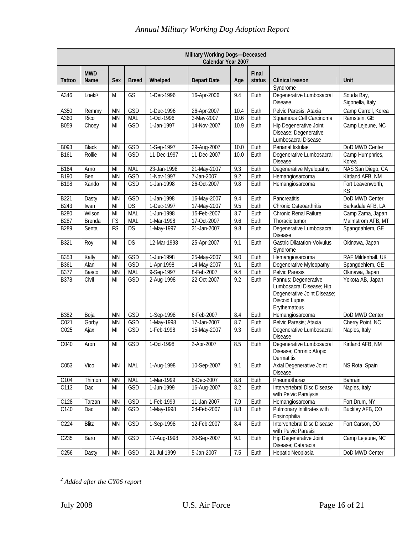| Military Working Dogs-Deceased<br>Calendar Year 2007 |                    |           |              |             |                    |      |                 |                                                                                                                  |                                |  |  |
|------------------------------------------------------|--------------------|-----------|--------------|-------------|--------------------|------|-----------------|------------------------------------------------------------------------------------------------------------------|--------------------------------|--|--|
| Tattoo                                               | <b>MWD</b><br>Name | Sex       | <b>Breed</b> | Whelped     | <b>Depart Date</b> | Age  | Final<br>status | Clinical reason                                                                                                  | Unit                           |  |  |
|                                                      |                    |           |              |             |                    |      |                 | Syndrome                                                                                                         |                                |  |  |
| A346                                                 | Loeki <sup>2</sup> | M         | GS           | 1-Dec-1996  | 16-Apr-2006        | 9.4  | Euth            | Degenerative Lumbosacral<br><b>Disease</b>                                                                       | Souda Bay,<br>Sigonella, Italy |  |  |
| A350                                                 | Remmy              | <b>MN</b> | GSD          | 1-Dec-1996  | 26-Apr-2007        | 10.4 | Euth            | Pelvic Paresis; Ataxia                                                                                           | Camp Carroll, Korea            |  |  |
| A360                                                 | Rico               | <b>MN</b> | MAL          | 1-Oct-1996  | 3-May-2007         | 10.6 | Euth            | Squamous Cell Carcinoma                                                                                          | Ramstein, GE                   |  |  |
| B059                                                 | Choey              | MI        | GSD          | 1-Jan-1997  | 14-Nov-2007        | 10.9 | Euth            | Hip Degenerative Joint<br>Disease; Degenerative<br>Lumbosacral Disease                                           | Camp Lejeune, NC               |  |  |
| B093                                                 | <b>Black</b>       | <b>MN</b> | GSD          | 1-Sep-1997  | 29-Aug-2007        | 10.0 | Euth            | Perianal fistulae                                                                                                | DoD MWD Center                 |  |  |
| B161                                                 | Rollie             | MI        | GSD          | 11-Dec-1997 | 11-Dec-2007        | 10.0 | Euth            | Degenerative Lumbosacral<br>Disease                                                                              | Camp Humphries,<br>Korea       |  |  |
| B164                                                 | Arno               | MI        | <b>MAL</b>   | 23-Jan-1998 | 21-May-2007        | 9.3  | Euth            | Degenerative Myelopathy                                                                                          | NAS San Diego, CA              |  |  |
| <b>B190</b>                                          | Ben                | <b>MN</b> | GSD          | 1-Nov-1997  | 7-Jan-2007         | 9.2  | Euth            | Hemangiosarcoma                                                                                                  | Kirtland AFB, NM               |  |  |
| <b>B198</b>                                          | Xando              | MI        | GSD          | 1-Jan-1998  | 26-Oct-2007        | 9.8  | Euth            | Hemangiosarcoma                                                                                                  | Fort Leavenworth,<br>KS        |  |  |
| B221                                                 | Dasty              | <b>MN</b> | GSD          | 1-Jan-1998  | 16-May-2007        | 9.4  | Euth            | Pancreatitis                                                                                                     | DoD MWD Center                 |  |  |
| <b>B243</b>                                          | Iwan               | MI        | DS           | 1-Dec-1997  | 17-May-2007        | 9.5  | Euth            | Chronic Osteoarthritis                                                                                           | Barksdale AFB, LA              |  |  |
| <b>B280</b>                                          | Wilson             | MI        | <b>MAL</b>   | 1-Jun-1998  | 15-Feb-2007        | 8.7  | Euth            | Chronic Renal Failure                                                                                            | Camp Zama, Japan               |  |  |
| B287                                                 | Brenda             | FS        | MAL          | 1-Mar-1998  | 17-Oct-2007        | 9.6  | Euth            | Thoracic tumor                                                                                                   | Malmstrom AFB, MT              |  |  |
| B289                                                 | Senta              | FS        | DS           | 1-May-1997  | 31-Jan-2007        | 9.8  | Euth            | Degenerative Lumbosacral<br><b>Disease</b>                                                                       | Spangdahlem, GE                |  |  |
| <b>B321</b>                                          | Roy                | MI        | <b>DS</b>    | 12-Mar-1998 | 25-Apr-2007        | 9.1  | Euth            | <b>Gastric Dilatation-Volvulus</b><br>Syndrome                                                                   | Okinawa, Japan                 |  |  |
| <b>B353</b>                                          | Kally              | <b>MN</b> | GSD          | 1-Jun-1998  | 25-May-2007        | 9.0  | Euth            | Hemangiosarcoma                                                                                                  | RAF Mildenhall, UK             |  |  |
| B361                                                 | Alan               | MI        | GSD          | 1-Apr-1998  | 14-May-2007        | 9.1  | Euth            | Degenerative Myleopathy                                                                                          | Spangdehlem, GE                |  |  |
| <b>B377</b>                                          | Basco              | <b>MN</b> | MAL          | 9-Sep-1997  | 8-Feb-2007         | 9.4  | Euth            | Pelvic Paresis                                                                                                   | Okinawa, Japan                 |  |  |
| <b>B378</b>                                          | Civil              | MI        | GSD          | 2-Aug-1998  | 22-Oct-2007        | 9.2  | Euth            | Pannus; Degenerative<br>Lumbosacral Disease; Hip<br>Degenerative Joint Disease;<br>Discoid Lupus<br>Erythematous | Yokota AB, Japan               |  |  |
| B382                                                 | Boja               | <b>MN</b> | GSD          | 1-Sep-1998  | 6-Feb-2007         | 8.4  | Euth            | Hemangiosarcoma                                                                                                  | DoD MWD Center                 |  |  |
| C021                                                 | Gorby              | <b>MN</b> | GSD          | 1-May-1998  | 17-Jan-2007        | 8.7  | Euth            | Pelvic Paresis; Ataxia                                                                                           | Cherry Point, NC               |  |  |
| $\overline{CO25}$                                    | Ajax               | MI        | GSD          | 1-Feb-1998  | 15-May-2007        | 9.3  | Euth            | Degenerative Lumbosacral<br>Disease                                                                              | Naples, Italy                  |  |  |
| C040                                                 | Aron               | MI        | GSD          | 1-Oct-1998  | 2-Apr-2007         | 8.5  | Euth            | Degenerative Lumbosacral<br>Disease; Chronic Atopic<br>Dermatitis                                                | Kirtland AFB, NM               |  |  |
| C053                                                 | Vico               | <b>MN</b> | <b>MAL</b>   | 1-Aug-1998  | 10-Sep-2007        | 9.1  | Euth            | Axial Degenerative Joint<br>Disease                                                                              | NS Rota, Spain                 |  |  |
| C104                                                 | Thimon             | <b>MN</b> | MAL          | 1-Mar-1999  | 6-Dec-2007         | 8.8  | Euth            | Pneumothorax                                                                                                     | Bahrain                        |  |  |
| C113                                                 | Dac                | MI        | GSD          | 1-Jun-1999  | 16-Aug-2007        | 8.2  | Euth            | Intervertebral Disc Disease<br>with Pelvic Paralysis                                                             | Naples, Italy                  |  |  |
| C128                                                 | Tarzan             | <b>MN</b> | GSD          | 1-Feb-1999  | 11-Jan-2007        | 7.9  | Euth            | Hemangiosarcoma                                                                                                  | Fort Drum, NY                  |  |  |
| C140                                                 | Dac                | <b>MN</b> | GSD          | 1-May-1998  | 24-Feb-2007        | 8.8  | Euth            | Pulmonary Infiltrates with<br>Eosinophilia                                                                       | Buckley AFB, CO                |  |  |
| C224                                                 | Blitz              | <b>MN</b> | GSD          | 1-Sep-1998  | 12-Feb-2007        | 8.4  | Euth            | Intervertebral Disc Disease<br>with Pelvic Paresis                                                               | Fort Carson, CO                |  |  |
| C235                                                 | Baro               | <b>MN</b> | GSD          | 17-Aug-1998 | 20-Sep-2007        | 9.1  | Euth            | Hip Degenerative Joint<br>Disease; Cataracts                                                                     | Camp Lejeune, NC               |  |  |
| C256                                                 | Dasty              | <b>MN</b> | GSD          | 21-Jul-1999 | 5-Jan-2007         | 7.5  | Euth            | Hepatic Neoplasia                                                                                                | DoD MWD Center                 |  |  |

 *2 Added after the CY06 report*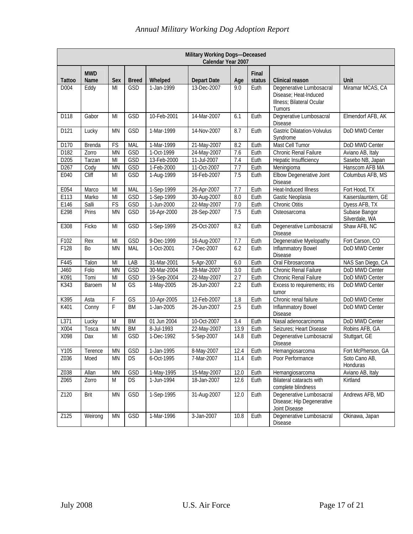|               | Military Working Dogs-Deceased<br>Calendar Year 2007 |           |              |             |                    |                   |                 |                                                                                          |                                 |  |  |  |
|---------------|------------------------------------------------------|-----------|--------------|-------------|--------------------|-------------------|-----------------|------------------------------------------------------------------------------------------|---------------------------------|--|--|--|
| <b>Tattoo</b> | <b>MWD</b><br>Name                                   | Sex       | <b>Breed</b> | Whelped     | <b>Depart Date</b> | Age               | Final<br>status | Clinical reason                                                                          | <b>Unit</b>                     |  |  |  |
| D004          | Eddy                                                 | MI        | GSD          | 1-Jan-1999  | 13-Dec-2007        | 9.0               | Euth            | Degenerative Lumbosacral<br>Disease; Heat-Induced<br>Illness; Bilateral Ocular<br>Tumors | Miramar MCAS, CA                |  |  |  |
| D118          | Gabor                                                | MI        | GSD          | 10-Feb-2001 | 14-Mar-2007        | 6.1               | Euth            | Degnerative Lumbosacral<br><b>Disease</b>                                                | Elmendorf AFB, AK               |  |  |  |
| D121          | Lucky                                                | <b>MN</b> | GSD          | 1-Mar-1999  | 14-Nov-2007        | 8.7               | Euth            | <b>Gastric Dilatation-Volvulus</b><br>Syndrome                                           | DoD MWD Center                  |  |  |  |
| D170          | Brenda                                               | FS        | <b>MAL</b>   | 1-Mar-1999  | 21-May-2007        | 8.2               | Euth            | Mast Cell Tumor                                                                          | DoD MWD Center                  |  |  |  |
| D182          | Zorro                                                | <b>MN</b> | GSD          | 1-Oct-1999  | 24-May-2007        | 7.6               | Euth            | Chronic Renal Failure                                                                    | Aviano AB, Italy                |  |  |  |
| D205          | Tarzan                                               | MI        | GSD          | 13-Feb-2000 | 11-Jul-2007        | 7.4               | Euth            | Hepatic Insufficiency                                                                    | Sasebo NB, Japan                |  |  |  |
| D267          | Cody                                                 | <b>MN</b> | GSD          | 1-Feb-2000  | 11-Oct-2007        | 7.7               | Euth            | Meningioma                                                                               | Hanscom AFB MA                  |  |  |  |
| E040          | Cliff                                                | MI        | GSD          | 1-Aug-1999  | 16-Feb-2007        | 7.5               | Euth            | Elbow Degenerative Joint<br><b>Disease</b>                                               | Columbus AFB, MS                |  |  |  |
| E054          | Marco                                                | MI        | <b>MAL</b>   | 1-Sep-1999  | 26-Apr-2007        | 7.7               | Euth            | Heat-Induced Illness                                                                     | Fort Hood, TX                   |  |  |  |
| E113          | Marko                                                | MI        | GSD          | 1-Sep-1999  | 30-Aug-2007        | 8.0               | Euth            | Gastic Neoplasia                                                                         | Kaiserslauntern, GE             |  |  |  |
| E146          | Salli                                                | FS        | GSD          | 1-Jun-2000  | 22-May-2007        | 7.0               | Euth            | <b>Chronic Otitis</b>                                                                    | Dyess AFB, TX                   |  |  |  |
| E298          | Prins                                                | <b>MN</b> | <b>GSD</b>   | 16-Apr-2000 | 28-Sep-2007        | 7.5               | Euth            | Osteosarcoma                                                                             | Subase Bangor<br>Silverdale, WA |  |  |  |
| E308          | Ficko                                                | MI        | GSD          | 1-Sep-1999  | 25-Oct-2007        | 8.2               | Euth            | Degenerative Lumbosacral<br><b>Disease</b>                                               | Shaw AFB, NC                    |  |  |  |
| F102          | Rex                                                  | MI        | GSD          | 9-Dec-1999  | 16-Aug-2007        | 7.7               | Euth            | Degenerative Myelopathy                                                                  | Fort Carson, CO                 |  |  |  |
| F128          | Bo                                                   | <b>MN</b> | MAL          | 1-Oct-2001  | 7-Dec-2007         | 6.2               | Euth            | <b>Inflammatory Bowel</b><br>Disease                                                     | DoD MWD Center                  |  |  |  |
| F445          | Talon                                                | MI        | LAB          | 31-Mar-2001 | 5-Apr-2007         | 6.0               | Euth            | Oral Fibrosarcoma                                                                        | NAS San Diego, CA               |  |  |  |
| J460          | Folo                                                 | <b>MN</b> | GSD          | 30-Mar-2004 | 28-Mar-2007        | 3.0               | Euth            | Chronic Renal Failure                                                                    | DoD MWD Center                  |  |  |  |
| K091          | Tomi                                                 | MI        | GSD          | 19-Sep-2004 | 22-May-2007        | 2.7               | Euth            | Chronic Renal Failure                                                                    | DoD MWD Center                  |  |  |  |
| K343          | Baroem                                               | M         | GS           | 1-May-2005  | 26-Jun-2007        | 2.2               | Euth            | Excess to requirements; iris<br>tumor                                                    | DoD MWD Center                  |  |  |  |
| K395          | Asta                                                 | F         | GS           | 10-Apr-2005 | 12-Feb-2007        | 1.8               | Euth            | Chronic renal failure                                                                    | DoD MWD Center                  |  |  |  |
| K401          | Conny                                                | F         | <b>BM</b>    | 1-Jan-2005  | 26-Jun-2007        | 2.5               | Euth            | <b>Inflammatory Bowel</b><br><b>Disease</b>                                              | DoD MWD Center                  |  |  |  |
| L371          | Lucky                                                | M         | <b>BM</b>    | 01 Jun 2004 | 10-Oct-2007        | 3.4               | Euth            | Nasal adenocarcinoma                                                                     | DoD MWD Center                  |  |  |  |
| X004          | Tosca                                                | <b>MN</b> | <b>BM</b>    | 8-Jul-1993  | 22-May-2007        | 13.9              | Euth            | Seizures; Heart Disease                                                                  | Robins AFB, GA                  |  |  |  |
| X098          | Dax                                                  | MI        | GSD          | 1-Dec-1992  | 5-Sep-2007         | 14.8              | Euth            | Degenerative Lumbosacral<br><b>Disease</b>                                               | Stuttgart, GE                   |  |  |  |
| Y105          | Terence                                              | MN        | GSD          | 1-Jan-1995  | 8-May-2007         | 12.4              | Euth            | Hemangiosarcoma                                                                          | Fort McPherson, GA              |  |  |  |
| Z036          | Moed                                                 | <b>MN</b> | <b>DS</b>    | 6-Oct-1995  | 7-Mar-2007         | 11.4              | Euth            | Poor Performance                                                                         | Soto Cano AB,<br>Honduras       |  |  |  |
| Z038          | Allan                                                | <b>MN</b> | GSD          | 1-May-1995  | 15-May-2007        | 12.0              | Euth            | Hemangiosarcoma                                                                          | Aviano AB, Italy                |  |  |  |
| Z065          | Zorro                                                | M         | <b>DS</b>    | 1-Jun-1994  | 18-Jan-2007        | 12.6              | Euth            | Bilateral cataracts with<br>complete blindness                                           | Kirtland                        |  |  |  |
| Z120          | Brit                                                 | <b>MN</b> | GSD          | 1-Sep-1995  | 31-Aug-2007        | $\overline{12.0}$ | Euth            | Degenerative Lumbosacral<br>Disease; Hip Degenerative<br>Joint Disease                   | Andrews AFB, MD                 |  |  |  |
| Z125          | Weirong                                              | MN        | GSD          | 1-Mar-1996  | 3-Jan-2007         | 10.8              | Euth            | Degenerative Lumbosacral<br>Disease                                                      | Okinawa, Japan                  |  |  |  |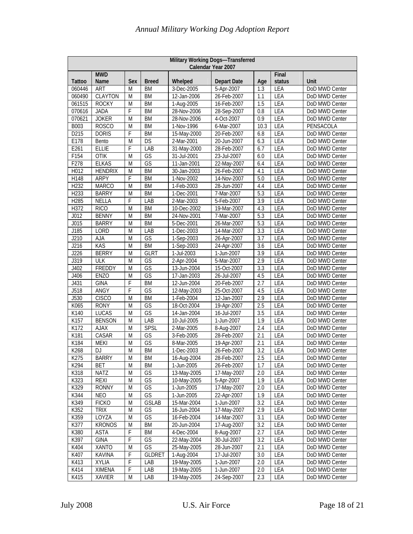| Military Working Dogs-Transferred<br>Calendar Year 2007 |                    |           |                          |             |                    |      |                 |                |  |  |  |
|---------------------------------------------------------|--------------------|-----------|--------------------------|-------------|--------------------|------|-----------------|----------------|--|--|--|
| <b>Tattoo</b>                                           | <b>MWD</b><br>Name | Sex       | <b>Breed</b>             | Whelped     | <b>Depart Date</b> | Age  | Final<br>status | Unit           |  |  |  |
| 060446                                                  | <b>ART</b>         | M         | <b>BM</b>                | 3-Dec-2005  | 5-Apr-2007         | 1.3  | LEA             | DoD MWD Center |  |  |  |
| 060490                                                  | <b>CLAYTON</b>     | M         | <b>BM</b>                | 12-Jan-2006 | 26-Feb-2007        | 1.1  | LEA             | DoD MWD Center |  |  |  |
| 061515                                                  | <b>ROCKY</b>       | M         | <b>BM</b>                | 1-Aug-2005  | 16-Feb-2007        | 1.5  | LEA             | DoD MWD Center |  |  |  |
| 070616                                                  | <b>JADA</b>        | F         | <b>BM</b>                | 28-Nov-2006 | 28-Sep-2007        | 0.8  | LEA             | DoD MWD Center |  |  |  |
| 070621                                                  | <b>JOKER</b>       | M         | <b>BM</b>                | 28-Nov-2006 | 4-Oct-2007         | 0.9  | LEA             | DoD MWD Center |  |  |  |
| B003                                                    | <b>ROSCO</b>       | M         | <b>BM</b>                | 1-Nov-1996  | 6-Mar-2007         | 10.3 | LEA             | PENSACOLA      |  |  |  |
| D215                                                    | <b>DORIS</b>       | F         | <b>BM</b>                | 15-May-2000 | 20-Feb-2007        | 6.8  | LEA             | DoD MWD Center |  |  |  |
| E178                                                    | Bento              | M         | <b>DS</b>                | 2-Mar-2001  | 20-Jun-2007        | 6.3  | <b>LEA</b>      | DoD MWD Center |  |  |  |
| E261                                                    | <b>ELLIE</b>       | F         | LAB                      | 31-May-2000 | 28-Feb-2007        | 6.7  | LEA             | DoD MWD Center |  |  |  |
| F154                                                    | <b>OTIK</b>        | M         | GS                       | 31-Jul-2001 | 23-Jul-2007        | 6.0  | LEA             | DoD MWD Center |  |  |  |
| F278                                                    | <b>ELKAS</b>       | M         | GS                       | 11-Jan-2001 | 22-May-2007        | 6.4  | LEA             | DoD MWD Center |  |  |  |
| H012                                                    | <b>HENDRIX</b>     | M         | <b>BM</b>                | 30-Jan-2003 | 26-Feb-2007        | 4.1  | LEA             | DoD MWD Center |  |  |  |
| H148                                                    | <b>ARPY</b>        | F         | <b>BM</b>                | 1-Nov-2002  | 14-Nov-2007        | 5.0  | LEA             | DoD MWD Center |  |  |  |
| H232                                                    | <b>MARCO</b>       | M         | <b>BM</b>                | 1-Feb-2003  | 28-Jun-2007        | 4.4  | LEA             | DoD MWD Center |  |  |  |
| H233                                                    | <b>BARRY</b>       | M         | <b>BM</b>                | 1-Dec-2001  | 7-Mar-2007         | 5.3  | LEA             | DoD MWD Center |  |  |  |
| H285                                                    | <b>NELLA</b>       | F         | LAB                      | 2-Mar-2003  | 5-Feb-2007         | 3.9  | LEA             | DoD MWD Center |  |  |  |
| H372                                                    | <b>RICO</b>        | M         | <b>BM</b>                | 10-Dec-2002 | 19-Mar-2007        | 4.3  | LEA             | DoD MWD Center |  |  |  |
| J012                                                    | <b>BENNY</b>       | M         | <b>BM</b>                | 24-Nov-2001 | 7-Mar-2007         | 5.3  | LEA             | DoD MWD Center |  |  |  |
| J015                                                    | <b>BARRY</b>       | M         | <b>BM</b>                | 5-Dec-2001  | 26-Mar-2007        | 5.3  | LEA             | DoD MWD Center |  |  |  |
| J185                                                    | LORD               | M         | LAB                      | 1-Dec-2003  | 14-Mar-2007        | 3.3  | LEA             | DoD MWD Center |  |  |  |
| J210                                                    | <b>AJA</b>         | M         | GS                       | 1-Sep-2003  | 26-Apr-2007        | 3.7  | LEA             | DoD MWD Center |  |  |  |
| J216                                                    | KAS                | M         | <b>BM</b>                | 1-Sep-2003  | 24-Apr-2007        | 3.6  | LEA             | DoD MWD Center |  |  |  |
| J226                                                    | <b>BERRY</b>       | M         | <b>GLRT</b>              | 1-Jul-2003  | 1-Jun-2007         | 3.9  | LEA             | DoD MWD Center |  |  |  |
| J319                                                    | <b>ULK</b>         | M         | GS                       | 2-Apr-2004  | 5-Mar-2007         | 2.9  | LEA             | DoD MWD Center |  |  |  |
| J402                                                    | FREDDY             | M         | GS                       | 13-Jun-2004 | 15-Oct-2007        | 3.3  | LEA             | DoD MWD Center |  |  |  |
| J406                                                    | <b>ENZO</b>        | M         | GS                       | 17-Jan-2003 | 26-Jul-2007        | 4.5  | LEA             | DoD MWD Center |  |  |  |
| J431                                                    | <b>GINA</b>        | F         | <b>BM</b>                | 12-Jun-2004 | 20-Feb-2007        | 2.7  | LEA             | DoD MWD Center |  |  |  |
| J518                                                    | ANGY               | F         | $\overline{\mathsf{GS}}$ | 12-May-2003 | 25-Oct-2007        | 4.5  | LEA             | DoD MWD Center |  |  |  |
| J530                                                    | <b>CISCO</b>       | M         | <b>BM</b>                | 1-Feb-2004  | 12-Jan-2007        | 2.9  | LEA             | DoD MWD Center |  |  |  |
| K065                                                    | <b>RONY</b>        | M         | GS                       | 18-Oct-2004 | 19-Apr-2007        | 2.5  | LEA             | DoD MWD Center |  |  |  |
| K140                                                    | LUCAS              | M         | GS                       | 14-Jan-2004 | 16-Jul-2007        | 3.5  | LEA             | DoD MWD Center |  |  |  |
| K157                                                    | <b>BENSON</b>      | M         | LAB                      | 10-Jul-2005 | 1-Jun-2007         | 1.9  | LEA             | DoD MWD Center |  |  |  |
| K172                                                    | <b>AJAX</b>        | M         | SPSL                     | 2-Mar-2005  | 8-Aug-2007         | 2.4  | LEA             | DoD MWD Center |  |  |  |
| K181                                                    | CASAR              | M         | GS                       | 3-Feb-2005  | 28-Feb-2007        | 2.1  | LEA             | DoD MWD Center |  |  |  |
| K184                                                    | <b>MEKI</b>        | M         | GS                       | 8-Mar-2005  | 19-Apr-2007        | 2.1  | LEA             | DoD MWD Center |  |  |  |
| K268                                                    | DJ                 | M         | <b>BM</b>                | 1-Dec-2003  | 26-Feb-2007        | 3.2  | LEA             | DoD MWD Center |  |  |  |
| K275                                                    | <b>BARRY</b>       | M         | BM                       | 16-Aug-2004 | 28-Feb-2007        | 2.5  | <b>LEA</b>      | DoD MWD Center |  |  |  |
| K294                                                    | BET                | M         | BM                       | 1-Jun-2005  | 26-Feb-2007        | 1.7  | LEA             | DoD MWD Center |  |  |  |
| K318                                                    | <b>NATZ</b>        | M         | GS                       | 13-May-2005 | 17-May-2007        | 2.0  | LEA             | DoD MWD Center |  |  |  |
| K323                                                    | <b>REXI</b>        | M         | GS                       | 10-May-2005 | 5-Apr-2007         | 1.9  | LEA             | DoD MWD Center |  |  |  |
| K329                                                    | <b>RONNY</b>       | M         | GS                       | 1-Jun-2005  | 17-May-2007        | 2.0  | LEA             | DoD MWD Center |  |  |  |
| K344                                                    | <b>NEO</b>         | M         | GS                       | 1-Jun-2005  | 22-Apr-2007        | 1.9  | LEA             | DoD MWD Center |  |  |  |
| K349                                                    | <b>FICKO</b>       | M         | <b>GSLAB</b>             | 15-Mar-2004 | 1-Jun-2007         | 3.2  | LEA             | DoD MWD Center |  |  |  |
| K352                                                    | <b>TRIX</b>        | ${\sf M}$ | GS                       | 16-Jun-2004 | 17-May-2007        | 2.9  | LEA             | DoD MWD Center |  |  |  |
| K359                                                    | LOYZA              | M         | GS                       | 16-Feb-2004 | 14-Mar-2007        | 3.1  | LEA             | DoD MWD Center |  |  |  |
| K377                                                    | <b>KRONOS</b>      | M         | BM                       | 20-Jun-2004 | 17-Aug-2007        | 3.2  | LEA             | DoD MWD Center |  |  |  |
| K380                                                    | <b>ASTA</b>        | F         | BM                       | 4-Dec-2004  | 8-Aug-2007         | 2.7  | LEA             | DoD MWD Center |  |  |  |
| K397                                                    | <b>GINA</b>        | F         | GS                       | 22-May-2004 | 30-Jul-2007        | 3.2  | LEA             | DoD MWD Center |  |  |  |
| K404                                                    | <b>XANTO</b>       | M         | GS                       | 25-May-2005 | 28-Jun-2007        | 2.1  | LEA             | DoD MWD Center |  |  |  |
| K407                                                    | <b>KAVINA</b>      | F         | <b>GLDRET</b>            | 1-Aug-2004  | 17-Jul-2007        | 3.0  | LEA             | DoD MWD Center |  |  |  |
| K413                                                    | XYLIA              | F         | LAB                      | 19-May-2005 | 1-Jun-2007         | 2.0  | LEA             | DoD MWD Center |  |  |  |
| K414                                                    | <b>XIMENA</b>      | F         | LAB                      | 19-May-2005 | 1-Jun-2007         | 2.0  | LEA             | DoD MWD Center |  |  |  |
| K415                                                    | XAVIER             | M         | LAB                      | 19-May-2005 | 24-Sep-2007        | 2.3  | LEA             | DoD MWD Center |  |  |  |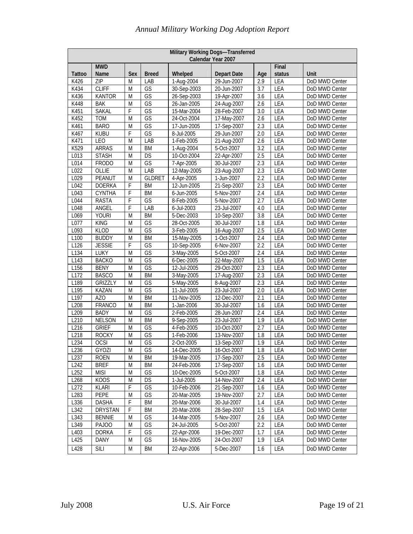| Military Working Dogs-Transferred<br>Calendar Year 2007 |                    |                         |                          |             |                    |     |                 |                |  |  |
|---------------------------------------------------------|--------------------|-------------------------|--------------------------|-------------|--------------------|-----|-----------------|----------------|--|--|
| <b>Tattoo</b>                                           | <b>MWD</b><br>Name | Sex                     | <b>Breed</b>             | Whelped     | <b>Depart Date</b> | Age | Final<br>status | Unit           |  |  |
| K426                                                    | ZIP                | M                       | LAB                      | 1-Aug-2004  | 29-Jun-2007        | 2.9 | LEA             | DoD MWD Center |  |  |
| K434                                                    | <b>CLIFF</b>       | M                       | GS                       | 30-Sep-2003 | 20-Jun-2007        | 3.7 | LEA             | DoD MWD Center |  |  |
| K436                                                    | <b>KANTOR</b>      | M                       | GS                       | 26-Sep-2003 | 19-Apr-2007        | 3.6 | LEA             | DoD MWD Center |  |  |
| K448                                                    | <b>BAK</b>         | M                       | GS                       | 26-Jan-2005 | 24-Aug-2007        | 2.6 | LEA             | DoD MWD Center |  |  |
| K451                                                    | <b>SAKAL</b>       | F                       | $\overline{\mathsf{GS}}$ | 15-Mar-2004 | 28-Feb-2007        | 3.0 | LEA             | DoD MWD Center |  |  |
| K452                                                    | <b>TOM</b>         | M                       | GS                       | 24-Oct-2004 | 17-May-2007        | 2.6 | LEA             | DoD MWD Center |  |  |
| K461                                                    | <b>BARO</b>        | M                       | GS                       | 17-Jun-2005 | 17-Sep-2007        | 2.3 | LEA             | DoD MWD Center |  |  |
| K467                                                    | <b>KUBU</b>        | F                       | GS                       | 8-Jul-2005  | 29-Jun-2007        | 2.0 | LEA             | DoD MWD Center |  |  |
| K471                                                    | <b>LEO</b>         | M                       | LAB                      | 1-Feb-2005  | 21-Aug-2007        | 2.6 | LEA             | DoD MWD Center |  |  |
| K529                                                    | <b>ARRAS</b>       | M                       | <b>BM</b>                | 1-Aug-2004  | 5-Oct-2007         | 3.2 | LEA             | DoD MWD Center |  |  |
| L013                                                    | <b>STASH</b>       | M                       | DS                       | 10-Oct-2004 | 22-Apr-2007        | 2.5 | LEA             | DoD MWD Center |  |  |
| L014                                                    | <b>FRODO</b>       | M                       | GS                       | 7-Apr-2005  | 30-Jul-2007        | 2.3 | LEA             | DoD MWD Center |  |  |
| L022                                                    | OLLIE              | M                       | LAB                      | 12-May-2005 | 23-Aug-2007        | 2.3 | LEA             | DoD MWD Center |  |  |
| L029                                                    | PEANUT             | M                       | <b>GLDRET</b>            | 4-Apr-2005  | 1-Jun-2007         | 2.2 | LEA             | DoD MWD Center |  |  |
| L042                                                    | <b>DOERKA</b>      | F                       | <b>BM</b>                | 12-Jun-2005 | 21-Sep-2007        | 2.3 | LEA             | DoD MWD Center |  |  |
| L043                                                    | <b>CYNTHA</b>      | F                       | <b>BM</b>                | 6-Jun-2005  | 5-Nov-2007         | 2.4 | LEA             | DoD MWD Center |  |  |
| L044                                                    | <b>RASTA</b>       | F                       | GS                       | 8-Feb-2005  | 5-Nov-2007         | 2.7 | LEA             | DoD MWD Center |  |  |
| L048                                                    | ANGEL              | F                       | LAB                      | 6-Jul-2003  | 23-Jul-2007        | 4.0 | LEA             | DoD MWD Center |  |  |
| L069                                                    | <b>YOURI</b>       | M                       | <b>BM</b>                | 5-Dec-2003  | 10-Sep-2007        | 3.8 | LEA             | DoD MWD Center |  |  |
| L077                                                    | <b>KING</b>        | M                       | GS                       | 28-Oct-2005 | 30-Jul-2007        | 1.8 | LEA             | DoD MWD Center |  |  |
| L093                                                    | <b>KLOD</b>        | M                       | GS                       | 3-Feb-2005  | 16-Aug-2007        | 2.5 | LEA             | DoD MWD Center |  |  |
| L <sub>100</sub>                                        | <b>BUDDY</b>       | M                       | BM                       | 15-May-2005 | 1-Oct-2007         | 2.4 | LEA             | DoD MWD Center |  |  |
| L126                                                    | <b>JESSIE</b>      | F                       | GS                       | 10-Sep-2005 | 6-Nov-2007         | 2.2 | LEA             | DoD MWD Center |  |  |
| L134                                                    | LUKY               | M                       | $\overline{\mathbb{GS}}$ | 3-May-2005  | 5-Oct-2007         | 2.4 | LEA             | DoD MWD Center |  |  |
| L143                                                    | <b>BACKO</b>       | M                       | GS                       | 6-Dec-2005  | 22-May-2007        | 1.5 | LEA             | DoD MWD Center |  |  |
| L156                                                    | <b>BENY</b>        | M                       | $\overline{\mathbb{GS}}$ | 12-Jul-2005 | 29-Oct-2007        | 2.3 | LEA             | DoD MWD Center |  |  |
| L172                                                    | <b>BASCO</b>       | M                       | <b>BM</b>                | 3-May-2005  | 17-Aug-2007        | 2.3 | LEA             | DoD MWD Center |  |  |
| L189                                                    | <b>GRIZZLY</b>     | M                       | GS                       | 5-May-2005  | 8-Aug-2007         | 2.3 | LEA             | DoD MWD Center |  |  |
| L195                                                    | <b>KAZAN</b>       | M                       | $\overline{\mathbb{GS}}$ | 11-Jul-2005 | 23-Jul-2007        | 2.0 | LEA             | DoD MWD Center |  |  |
| L197                                                    | <b>AZO</b>         | M                       | <b>BM</b>                | 11-Nov-2005 | 12-Dec-2007        | 2.1 | LEA             | DoD MWD Center |  |  |
| L208                                                    | FRANCO             | M                       | <b>BM</b>                | 1-Jan-2006  | 30-Jul-2007        | 1.6 | LEA             | DoD MWD Center |  |  |
| L209                                                    | <b>BADY</b>        | M                       | GS                       | 2-Feb-2005  | 28-Jun-2007        | 2.4 | LEA             | DoD MWD Center |  |  |
| L210                                                    | <b>NELSON</b>      | M                       | <b>BM</b>                | 9-Sep-2005  | 23-Jul-2007        | 1.9 | LEA             | DoD MWD Center |  |  |
| L216                                                    | <b>GRIEF</b>       | M                       | GS                       | 4-Feb-2005  | 10-Oct-2007        | 2.7 | LEA             | DoD MWD Center |  |  |
| L218                                                    | <b>ROCKY</b>       | M                       | GS                       | 1-Feb-2006  | 13-Nov-2007        | 1.8 | LEA             | DoD MWD Center |  |  |
| L234                                                    | <b>OCSI</b>        | M                       | GS                       | 2-Oct-2005  | 13-Sep-2007        | 1.9 | LEA             | DoD MWD Center |  |  |
| L236                                                    | <b>GYOZI</b>       | $\overline{\mathsf{M}}$ | GS                       | 14-Dec-2005 | 16-Oct-2007        | 1.8 | LEA             | DoD MWD Center |  |  |
| L <sub>237</sub>                                        | ROEN               | M                       | BM                       | 19-Mar-2005 | 17-Sep-2007        | 2.5 | LEA             | DoD MWD Center |  |  |
| L242                                                    | <b>BREF</b>        | M                       | BM                       | 24-Feb-2006 | 17-Sep-2007        | 1.6 | LEA             | DoD MWD Center |  |  |
| L252                                                    | <b>MISI</b>        | M                       | GS                       | 10-Dec-2005 | 5-Oct-2007         | 1.8 | LEA             | DoD MWD Center |  |  |
| L268                                                    | KOOS               | M                       | DS                       | 1-Jul-2005  | 14-Nov-2007        | 2.4 | LEA             | DoD MWD Center |  |  |
| L272                                                    | <b>KLARI</b>       | F                       | GS                       | 10-Feb-2006 | 21-Sep-2007        | 1.6 | LEA             | DoD MWD Center |  |  |
| L283                                                    | PEPE               | M                       | GS                       | 20-Mar-2005 | 19-Nov-2007        | 2.7 | LEA             | DoD MWD Center |  |  |
| L336                                                    | <b>DASHA</b>       | F                       | BM                       | 20-Mar-2006 | 30-Jul-2007        | 1.4 | LEA             | DoD MWD Center |  |  |
| L342                                                    | <b>DRYSTAN</b>     | F                       | <b>BM</b>                | 20-Mar-2006 | 28-Sep-2007        | 1.5 | LEA             | DoD MWD Center |  |  |
| L343                                                    | <b>BENNIE</b>      | ${\sf M}$               | GS                       | 14-Mar-2005 | 5-Nov-2007         | 2.6 | LEA             | DoD MWD Center |  |  |
| L349                                                    | PAJOO              | M                       | GS                       | 24-Jul-2005 | 5-Oct-2007         | 2.2 | <b>LEA</b>      | DoD MWD Center |  |  |
| L403                                                    | <b>DORKA</b>       | F                       | GS                       | 22-Apr-2006 | 19-Dec-2007        | 1.7 | LEA             | DoD MWD Center |  |  |
| L425                                                    | DANY               | M                       | GS                       | 16-Nov-2005 | 24-Oct-2007        | 1.9 | LEA             | DoD MWD Center |  |  |
| L428                                                    | <b>SILI</b>        | M                       | BM                       | 22-Apr-2006 | 5-Dec-2007         | 1.6 | LEA             | DoD MWD Center |  |  |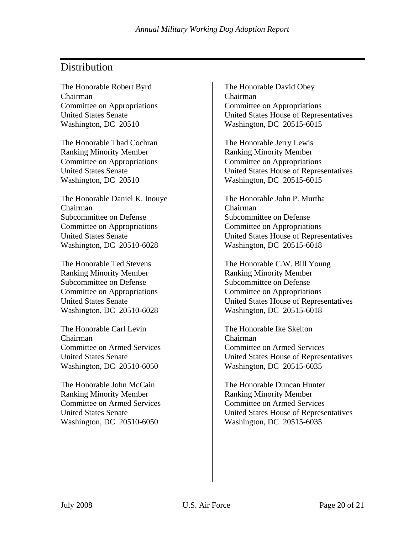# **Distribution**

The Honorable Robert Byrd Chairman Committee on Appropriations United States Senate Washington, DC 20510

The Honorable Thad Cochran Ranking Minority Member Committee on Appropriations United States Senate Washington, DC 20510

The Honorable Daniel K. Inouye Chairman Subcommittee on Defense Committee on Appropriations United States Senate Washington, DC 20510-6028

The Honorable Ted Stevens Ranking Minority Member Subcommittee on Defense Committee on Appropriations United States Senate Washington, DC 20510-6028

The Honorable Carl Levin Chairman Committee on Armed Services United States Senate Washington, DC 20510-6050

The Honorable John McCain Ranking Minority Member Committee on Armed Services United States Senate Washington, DC 20510-6050

The Honorable David Obey Chairman Committee on Appropriations United States House of Representatives Washington, DC 20515-6015

The Honorable Jerry Lewis Ranking Minority Member Committee on Appropriations United States House of Representatives Washington, DC 20515-6015

The Honorable John P. Murtha Chairman Subcommittee on Defense Committee on Appropriations United States House of Representatives Washington, DC 20515-6018

The Honorable C.W. Bill Young Ranking Minority Member Subcommittee on Defense Committee on Appropriations United States House of Representatives Washington, DC 20515-6018

The Honorable Ike Skelton Chairman Committee on Armed Services United States House of Representatives Washington, DC 20515-6035

The Honorable Duncan Hunter Ranking Minority Member Committee on Armed Services United States House of Representatives Washington, DC 20515-6035